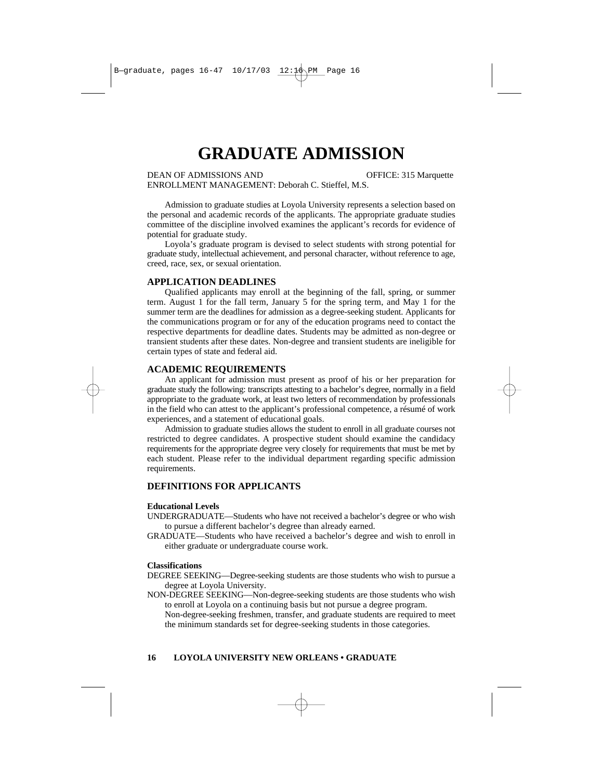# **GRADUATE ADMISSION**

DEAN OF ADMISSIONS AND **OFFICE: 315 Marquette** ENROLLMENT MANAGEMENT: Deborah C. Stieffel, M.S.

Admission to graduate studies at Loyola University represents a selection based on the personal and academic records of the applicants. The appropriate graduate studies committee of the discipline involved examines the applicant's records for evidence of potential for graduate study.

Loyola's graduate program is devised to select students with strong potential for graduate study, intellectual achievement, and personal character, without reference to age, creed, race, sex, or sexual orientation.

## **APPLICATION DEADLINES**

Qualified applicants may enroll at the beginning of the fall, spring, or summer term. August 1 for the fall term, January 5 for the spring term, and May 1 for the summer term are the deadlines for admission as a degree-seeking student. Applicants for the communications program or for any of the education programs need to contact the respective departments for deadline dates. Students may be admitted as non-degree or transient students after these dates. Non-degree and transient students are ineligible for certain types of state and federal aid.

# **ACADEMIC REQUIREMENTS**

An applicant for admission must present as proof of his or her preparation for graduate study the following: transcripts attesting to a bachelor's degree, normally in a field appropriate to the graduate work, at least two letters of recommendation by professionals in the field who can attest to the applicant's professional competence, a résumé of work experiences, and a statement of educational goals.

Admission to graduate studies allows the student to enroll in all graduate courses not restricted to degree candidates. A prospective student should examine the candidacy requirements for the appropriate degree very closely for requirements that must be met by each student. Please refer to the individual department regarding specific admission requirements.

# **DEFINITIONS FOR APPLICANTS**

#### **Educational Levels**

- UNDERGRADUATE—Students who have not received a bachelor's degree or who wish to pursue a different bachelor's degree than already earned.
- GRADUATE—Students who have received a bachelor's degree and wish to enroll in either graduate or undergraduate course work.

#### **Classifications**

- DEGREE SEEKING—Degree-seeking students are those students who wish to pursue a degree at Loyola University.
- NON-DEGREE SEEKING—Non-degree-seeking students are those students who wish to enroll at Loyola on a continuing basis but not pursue a degree program. Non-degree-seeking freshmen, transfer, and graduate students are required to meet

the minimum standards set for degree-seeking students in those categories.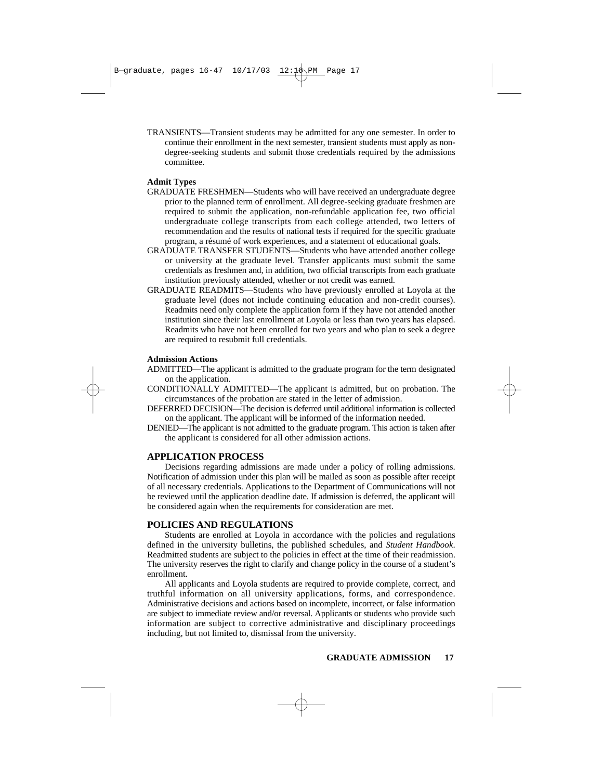TRANSIENTS—Transient students may be admitted for any one semester. In order to continue their enrollment in the next semester, transient students must apply as nondegree-seeking students and submit those credentials required by the admissions committee.

#### **Admit Types**

- GRADUATE FRESHMEN—Students who will have received an undergraduate degree prior to the planned term of enrollment. All degree-seeking graduate freshmen are required to submit the application, non-refundable application fee, two official undergraduate college transcripts from each college attended, two letters of recommendation and the results of national tests if required for the specific graduate program, a résumé of work experiences, and a statement of educational goals.
- GRADUATE TRANSFER STUDENTS—Students who have attended another college or university at the graduate level. Transfer applicants must submit the same credentials as freshmen and, in addition, two official transcripts from each graduate institution previously attended, whether or not credit was earned.
- GRADUATE READMITS—Students who have previously enrolled at Loyola at the graduate level (does not include continuing education and non-credit courses). Readmits need only complete the application form if they have not attended another institution since their last enrollment at Loyola or less than two years has elapsed. Readmits who have not been enrolled for two years and who plan to seek a degree are required to resubmit full credentials.

#### **Admission Actions**

- ADMITTED—The applicant is admitted to the graduate program for the term designated on the application.
- CONDITIONALLY ADMITTED—The applicant is admitted, but on probation. The circumstances of the probation are stated in the letter of admission.
- DEFERRED DECISION—The decision is deferred until additional information is collected on the applicant. The applicant will be informed of the information needed.
- DENIED—The applicant is not admitted to the graduate program. This action is taken after the applicant is considered for all other admission actions.

# **APPLICATION PROCESS**

Decisions regarding admissions are made under a policy of rolling admissions. Notification of admission under this plan will be mailed as soon as possible after receipt of all necessary credentials. Applications to the Department of Communications will not be reviewed until the application deadline date. If admission is deferred, the applicant will be considered again when the requirements for consideration are met.

# **POLICIES AND REGULATIONS**

Students are enrolled at Loyola in accordance with the policies and regulations defined in the university bulletins, the published schedules, and *Student Handbook*. Readmitted students are subject to the policies in effect at the time of their readmission. The university reserves the right to clarify and change policy in the course of a student's enrollment.

All applicants and Loyola students are required to provide complete, correct, and truthful information on all university applications, forms, and correspondence. Administrative decisions and actions based on incomplete, incorrect, or false information are subject to immediate review and/or reversal. Applicants or students who provide such information are subject to corrective administrative and disciplinary proceedings including, but not limited to, dismissal from the university.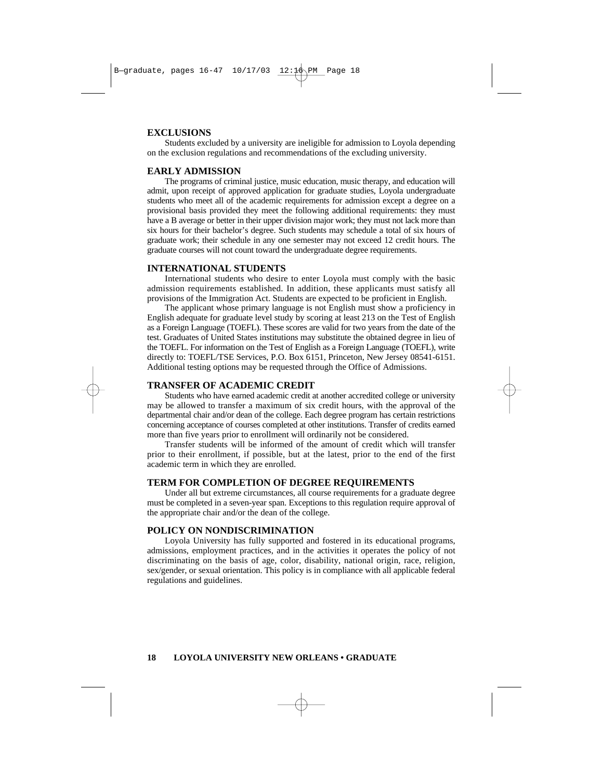## **EXCLUSIONS**

Students excluded by a university are ineligible for admission to Loyola depending on the exclusion regulations and recommendations of the excluding university.

#### **EARLY ADMISSION**

The programs of criminal justice, music education, music therapy, and education will admit, upon receipt of approved application for graduate studies, Loyola undergraduate students who meet all of the academic requirements for admission except a degree on a provisional basis provided they meet the following additional requirements: they must have a B average or better in their upper division major work; they must not lack more than six hours for their bachelor's degree. Such students may schedule a total of six hours of graduate work; their schedule in any one semester may not exceed 12 credit hours. The graduate courses will not count toward the undergraduate degree requirements.

# **INTERNATIONAL STUDENTS**

International students who desire to enter Loyola must comply with the basic admission requirements established. In addition, these applicants must satisfy all provisions of the Immigration Act. Students are expected to be proficient in English.

The applicant whose primary language is not English must show a proficiency in English adequate for graduate level study by scoring at least 213 on the Test of English as a Foreign Language (TOEFL). These scores are valid for two years from the date of the test. Graduates of United States institutions may substitute the obtained degree in lieu of the TOEFL. For information on the Test of English as a Foreign Language (TOEFL), write directly to: TOEFL/TSE Services, P.O. Box 6151, Princeton, New Jersey 08541-6151. Additional testing options may be requested through the Office of Admissions.

# **TRANSFER OF ACADEMIC CREDIT**

Students who have earned academic credit at another accredited college or university may be allowed to transfer a maximum of six credit hours, with the approval of the departmental chair and/or dean of the college. Each degree program has certain restrictions concerning acceptance of courses completed at other institutions. Transfer of credits earned more than five years prior to enrollment will ordinarily not be considered.

Transfer students will be informed of the amount of credit which will transfer prior to their enrollment, if possible, but at the latest, prior to the end of the first academic term in which they are enrolled.

## **TERM FOR COMPLETION OF DEGREE REQUIREMENTS**

Under all but extreme circumstances, all course requirements for a graduate degree must be completed in a seven-year span. Exceptions to this regulation require approval of the appropriate chair and/or the dean of the college.

# **POLICY ON NONDISCRIMINATION**

Loyola University has fully supported and fostered in its educational programs, admissions, employment practices, and in the activities it operates the policy of not discriminating on the basis of age, color, disability, national origin, race, religion, sex/gender, or sexual orientation. This policy is in compliance with all applicable federal regulations and guidelines.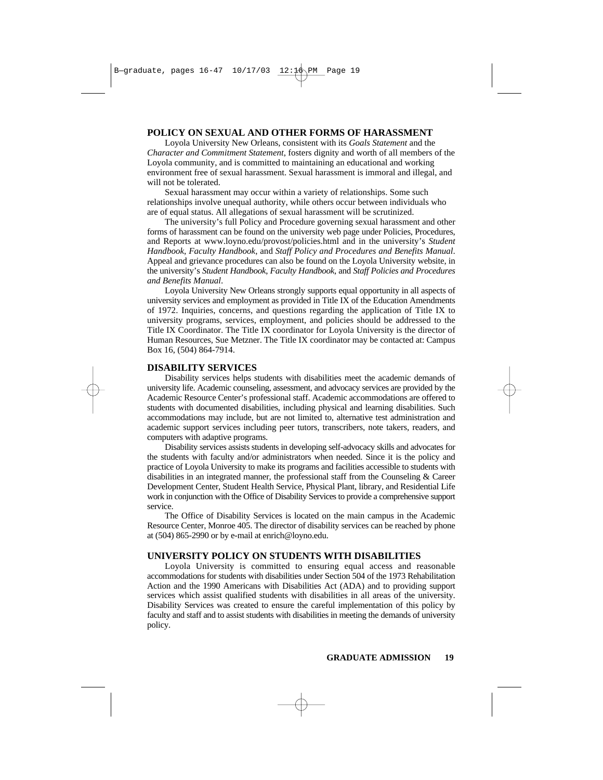# **POLICY ON SEXUAL AND OTHER FORMS OF HARASSMENT**

Loyola University New Orleans, consistent with its *Goals Statement* and the *Character and Commitment Statement*, fosters dignity and worth of all members of the Loyola community, and is committed to maintaining an educational and working environment free of sexual harassment. Sexual harassment is immoral and illegal, and will not be tolerated.

Sexual harassment may occur within a variety of relationships. Some such relationships involve unequal authority, while others occur between individuals who are of equal status. All allegations of sexual harassment will be scrutinized.

The university's full Policy and Procedure governing sexual harassment and other forms of harassment can be found on the university web page under Policies, Procedures, and Reports at www.loyno.edu/provost/policies.html and in the university's *Student Handbook*, *Faculty Handbook*, and *Staff Policy and Procedures and Benefits Manual*. Appeal and grievance procedures can also be found on the Loyola University website, in the university's *Student Handbook*, *Faculty Handbook*, and *Staff Policies and Procedures and Benefits Manual*.

Loyola University New Orleans strongly supports equal opportunity in all aspects of university services and employment as provided in Title IX of the Education Amendments of 1972. Inquiries, concerns, and questions regarding the application of Title IX to university programs, services, employment, and policies should be addressed to the Title IX Coordinator. The Title IX coordinator for Loyola University is the director of Human Resources, Sue Metzner. The Title IX coordinator may be contacted at: Campus Box 16, (504) 864-7914.

# **DISABILITY SERVICES**

Disability services helps students with disabilities meet the academic demands of university life. Academic counseling, assessment, and advocacy services are provided by the Academic Resource Center's professional staff. Academic accommodations are offered to students with documented disabilities, including physical and learning disabilities. Such accommodations may include, but are not limited to, alternative test administration and academic support services including peer tutors, transcribers, note takers, readers, and computers with adaptive programs.

Disability services assists students in developing self-advocacy skills and advocates for the students with faculty and/or administrators when needed. Since it is the policy and practice of Loyola University to make its programs and facilities accessible to students with disabilities in an integrated manner, the professional staff from the Counseling & Career Development Center, Student Health Service, Physical Plant, library, and Residential Life work in conjunction with the Office of Disability Services to provide a comprehensive support service.

The Office of Disability Services is located on the main campus in the Academic Resource Center, Monroe 405. The director of disability services can be reached by phone at (504) 865-2990 or by e-mail at enrich@loyno.edu.

# **UNIVERSITY POLICY ON STUDENTS WITH DISABILITIES**

Loyola University is committed to ensuring equal access and reasonable accommodations for students with disabilities under Section 504 of the 1973 Rehabilitation Action and the 1990 Americans with Disabilities Act (ADA) and to providing support services which assist qualified students with disabilities in all areas of the university. Disability Services was created to ensure the careful implementation of this policy by faculty and staff and to assist students with disabilities in meeting the demands of university policy.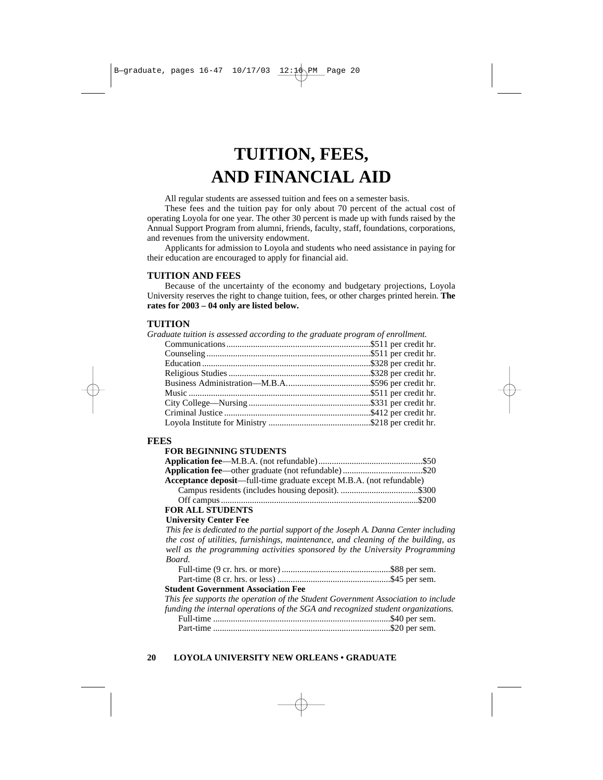# **TUITION, FEES, AND FINANCIAL AID**

All regular students are assessed tuition and fees on a semester basis.

These fees and the tuition pay for only about 70 percent of the actual cost of operating Loyola for one year. The other 30 percent is made up with funds raised by the Annual Support Program from alumni, friends, faculty, staff, foundations, corporations, and revenues from the university endowment.

Applicants for admission to Loyola and students who need assistance in paying for their education are encouraged to apply for financial aid.

# **TUITION AND FEES**

Because of the uncertainty of the economy and budgetary projections, Loyola University reserves the right to change tuition, fees, or other charges printed herein. **The rates for 2003 – 04 only are listed below.**

# **TUITION**

*Graduate tuition is assessed according to the graduate program of enrollment.*

# **FEES**

## **FOR BEGINNING STUDENTS**

| <b>Acceptance deposit—full-time graduate except M.B.A. (not refundable)</b> |  |
|-----------------------------------------------------------------------------|--|
|                                                                             |  |
|                                                                             |  |
|                                                                             |  |

# **FOR ALL STUDENTS**

# **University Center Fee**

*This fee is dedicated to the partial support of the Joseph A. Danna Center including the cost of utilities, furnishings, maintenance, and cleaning of the building, as well as the programming activities sponsored by the University Programming Board.*

# **Student Government Association Fee**

*This fee supports the operation of the Student Government Association to include funding the internal operations of the SGA and recognized student organizations.* Full-time ................................................................................\$40 per sem. Part-time ................................................................................\$20 per sem.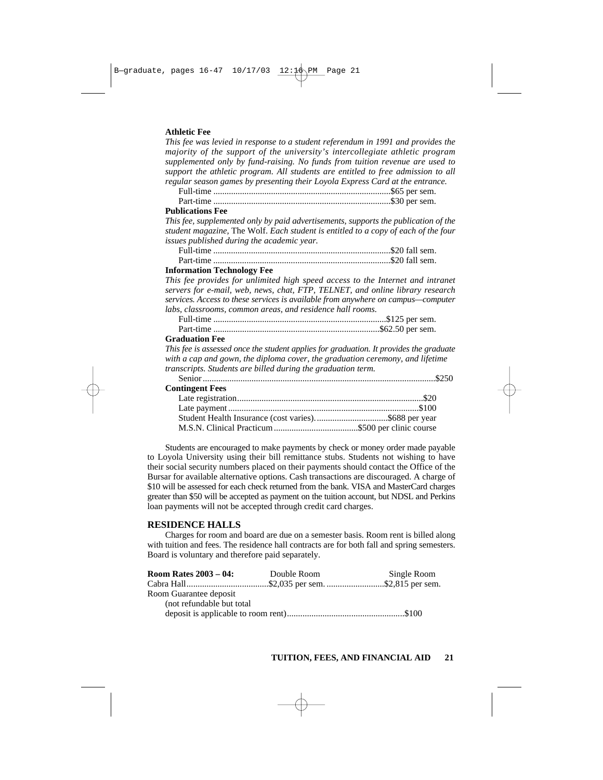#### **Athletic Fee**

*This fee was levied in response to a student referendum in 1991 and provides the majority of the support of the university's intercollegiate athletic program supplemented only by fund-raising. No funds from tuition revenue are used to support the athletic program. All students are entitled to free admission to all regular season games by presenting their Loyola Express Card at the entrance.*

Full-time ................................................................................\$65 per sem. Part-time ................................................................................\$30 per sem.

#### **Publications Fee**

*This fee, supplemented only by paid advertisements, supports the publication of the student magazine,* The Wolf. *Each student is entitled to a copy of each of the four issues published during the academic year.*

Full-time ................................................................................\$20 fall sem. Part-time ................................................................................\$20 fall sem.

#### **Information Technology Fee**

*This fee provides for unlimited high speed access to the Internet and intranet servers for e-mail, web, news, chat, FTP, TELNET, and online library research services. Access to these services is available from anywhere on campus—computer labs, classrooms, common areas, and residence hall rooms.* 

Full-time ..............................................................................\$125 per sem. Part-time ...........................................................................\$62.50 per sem.

#### **Graduation Fee**

*This fee is assessed once the student applies for graduation. It provides the graduate with a cap and gown, the diploma cover, the graduation ceremony, and lifetime transcripts. Students are billed during the graduation term.*

Senior .........................................................................................................\$250

| <b>Contingent Fees</b> |  |
|------------------------|--|
|------------------------|--|

Students are encouraged to make payments by check or money order made payable to Loyola University using their bill remittance stubs. Students not wishing to have their social security numbers placed on their payments should contact the Office of the Bursar for available alternative options. Cash transactions are discouraged. A charge of \$10 will be assessed for each check returned from the bank. VISA and MasterCard charges greater than \$50 will be accepted as payment on the tuition account, but NDSL and Perkins loan payments will not be accepted through credit card charges.

## **RESIDENCE HALLS**

Charges for room and board are due on a semester basis. Room rent is billed along with tuition and fees. The residence hall contracts are for both fall and spring semesters. Board is voluntary and therefore paid separately.

| <b>Room Rates 2003 – 04:</b> | Double Room | Single Room |
|------------------------------|-------------|-------------|
|                              |             |             |
| Room Guarantee deposit       |             |             |
| (not refundable but total)   |             |             |
|                              |             |             |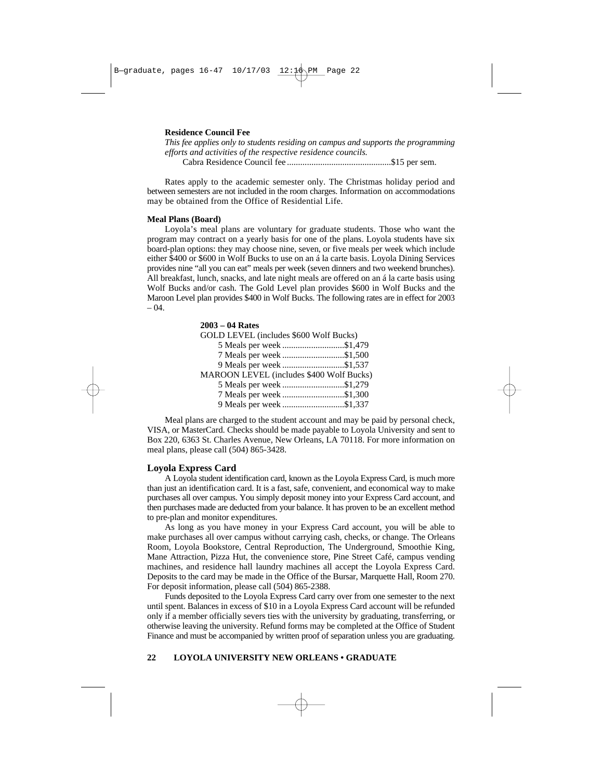#### **Residence Council Fee**

*This fee applies only to students residing on campus and supports the programming efforts and activities of the respective residence councils.* Cabra Residence Council fee ...............................................\$15 per sem.

Rates apply to the academic semester only. The Christmas holiday period and between semesters are not included in the room charges. Information on accommodations may be obtained from the Office of Residential Life.

#### **Meal Plans (Board)**

Loyola's meal plans are voluntary for graduate students. Those who want the program may contract on a yearly basis for one of the plans. Loyola students have six board-plan options: they may choose nine, seven, or five meals per week which include either \$400 or \$600 in Wolf Bucks to use on an á la carte basis. Loyola Dining Services provides nine "all you can eat" meals per week (seven dinners and two weekend brunches). All breakfast, lunch, snacks, and late night meals are offered on an á la carte basis using Wolf Bucks and/or cash. The Gold Level plan provides \$600 in Wolf Bucks and the Maroon Level plan provides \$400 in Wolf Bucks. The following rates are in effect for 2003  $- 04.$ 

| $2003 - 04$ Rates                               |  |
|-------------------------------------------------|--|
| GOLD LEVEL (includes \$600 Wolf Bucks)          |  |
| 5 Meals per week \$1,479                        |  |
| 7 Meals per week \$1,500                        |  |
| 9 Meals per week \$1,537                        |  |
| <b>MAROON LEVEL (includes \$400 Wolf Bucks)</b> |  |
|                                                 |  |
| 7 Meals per week \$1,300                        |  |
| 9 Meals per week \$1,337                        |  |

Meal plans are charged to the student account and may be paid by personal check, VISA, or MasterCard. Checks should be made payable to Loyola University and sent to Box 220, 6363 St. Charles Avenue, New Orleans, LA 70118. For more information on meal plans, please call (504) 865-3428.

#### **Loyola Express Card**

A Loyola student identification card, known as the Loyola Express Card, is much more than just an identification card. It is a fast, safe, convenient, and economical way to make purchases all over campus. You simply deposit money into your Express Card account, and then purchases made are deducted from your balance. It has proven to be an excellent method to pre-plan and monitor expenditures.

As long as you have money in your Express Card account, you will be able to make purchases all over campus without carrying cash, checks, or change. The Orleans Room, Loyola Bookstore, Central Reproduction, The Underground, Smoothie King, Mane Attraction, Pizza Hut, the convenience store, Pine Street Café, campus vending machines, and residence hall laundry machines all accept the Loyola Express Card. Deposits to the card may be made in the Office of the Bursar, Marquette Hall, Room 270. For deposit information, please call (504) 865-2388.

Funds deposited to the Loyola Express Card carry over from one semester to the next until spent. Balances in excess of \$10 in a Loyola Express Card account will be refunded only if a member officially severs ties with the university by graduating, transferring, or otherwise leaving the university. Refund forms may be completed at the Office of Student Finance and must be accompanied by written proof of separation unless you are graduating.

#### **22 LOYOLA UNIVERSITY NEW ORLEANS • GRADUATE**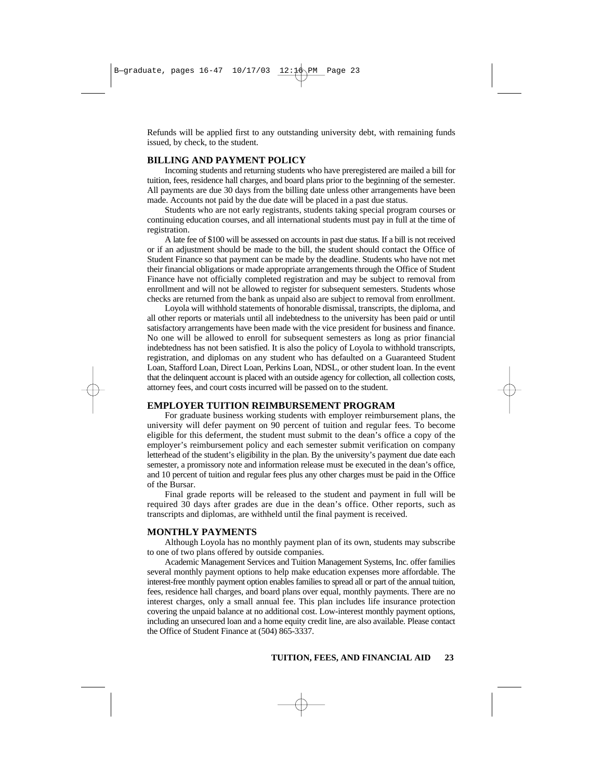Refunds will be applied first to any outstanding university debt, with remaining funds issued, by check, to the student.

# **BILLING AND PAYMENT POLICY**

Incoming students and returning students who have preregistered are mailed a bill for tuition, fees, residence hall charges, and board plans prior to the beginning of the semester. All payments are due 30 days from the billing date unless other arrangements have been made. Accounts not paid by the due date will be placed in a past due status.

Students who are not early registrants, students taking special program courses or continuing education courses, and all international students must pay in full at the time of registration.

A late fee of \$100 will be assessed on accounts in past due status. If a bill is not received or if an adjustment should be made to the bill, the student should contact the Office of Student Finance so that payment can be made by the deadline. Students who have not met their financial obligations or made appropriate arrangements through the Office of Student Finance have not officially completed registration and may be subject to removal from enrollment and will not be allowed to register for subsequent semesters. Students whose checks are returned from the bank as unpaid also are subject to removal from enrollment.

Loyola will withhold statements of honorable dismissal, transcripts, the diploma, and all other reports or materials until all indebtedness to the university has been paid or until satisfactory arrangements have been made with the vice president for business and finance. No one will be allowed to enroll for subsequent semesters as long as prior financial indebtedness has not been satisfied. It is also the policy of Loyola to withhold transcripts, registration, and diplomas on any student who has defaulted on a Guaranteed Student Loan, Stafford Loan, Direct Loan, Perkins Loan, NDSL, or other student loan. In the event that the delinquent account is placed with an outside agency for collection, all collection costs, attorney fees, and court costs incurred will be passed on to the student.

#### **EMPLOYER TUITION REIMBURSEMENT PROGRAM**

For graduate business working students with employer reimbursement plans, the university will defer payment on 90 percent of tuition and regular fees. To become eligible for this deferment, the student must submit to the dean's office a copy of the employer's reimbursement policy and each semester submit verification on company letterhead of the student's eligibility in the plan. By the university's payment due date each semester, a promissory note and information release must be executed in the dean's office, and 10 percent of tuition and regular fees plus any other charges must be paid in the Office of the Bursar.

Final grade reports will be released to the student and payment in full will be required 30 days after grades are due in the dean's office. Other reports, such as transcripts and diplomas, are withheld until the final payment is received.

#### **MONTHLY PAYMENTS**

Although Loyola has no monthly payment plan of its own, students may subscribe to one of two plans offered by outside companies.

Academic Management Services and Tuition Management Systems, Inc. offer families several monthly payment options to help make education expenses more affordable. The interest-free monthly payment option enables families to spread all or part of the annual tuition, fees, residence hall charges, and board plans over equal, monthly payments. There are no interest charges, only a small annual fee. This plan includes life insurance protection covering the unpaid balance at no additional cost. Low-interest monthly payment options, including an unsecured loan and a home equity credit line, are also available. Please contact the Office of Student Finance at (504) 865-3337.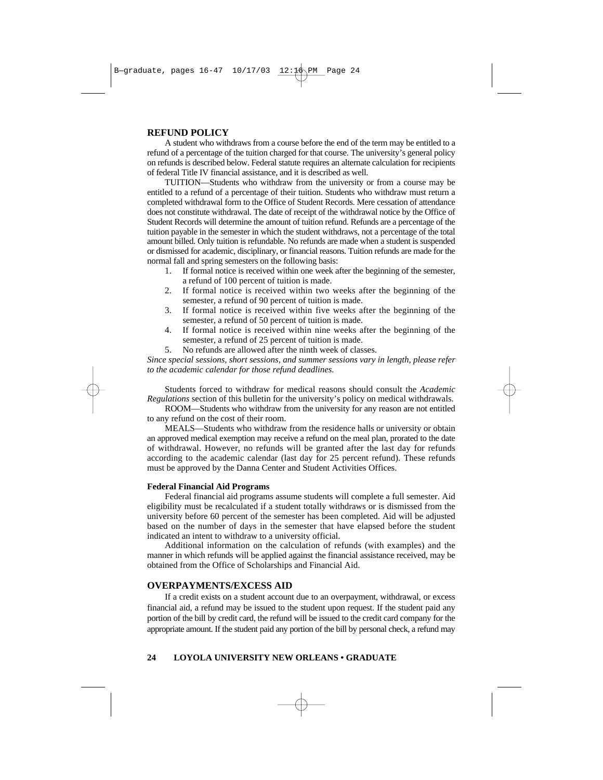# **REFUND POLICY**

A student who withdraws from a course before the end of the term may be entitled to a refund of a percentage of the tuition charged for that course. The university's general policy on refunds is described below. Federal statute requires an alternate calculation for recipients of federal Title IV financial assistance, and it is described as well.

TUITION—Students who withdraw from the university or from a course may be entitled to a refund of a percentage of their tuition. Students who withdraw must return a completed withdrawal form to the Office of Student Records. Mere cessation of attendance does not constitute withdrawal. The date of receipt of the withdrawal notice by the Office of Student Records will determine the amount of tuition refund. Refunds are a percentage of the tuition payable in the semester in which the student withdraws, not a percentage of the total amount billed. Only tuition is refundable. No refunds are made when a student is suspended or dismissed for academic, disciplinary, or financial reasons. Tuition refunds are made for the normal fall and spring semesters on the following basis:

- 1. If formal notice is received within one week after the beginning of the semester, a refund of 100 percent of tuition is made.
- 2. If formal notice is received within two weeks after the beginning of the semester, a refund of 90 percent of tuition is made.
- 3. If formal notice is received within five weeks after the beginning of the semester, a refund of 50 percent of tuition is made.
- 4. If formal notice is received within nine weeks after the beginning of the semester, a refund of 25 percent of tuition is made.
- 5. No refunds are allowed after the ninth week of classes.

*Since special sessions, short sessions, and summer sessions vary in length, please refer to the academic calendar for those refund deadlines.* 

Students forced to withdraw for medical reasons should consult the *Academic Regulations* section of this bulletin for the university's policy on medical withdrawals.

ROOM—Students who withdraw from the university for any reason are not entitled to any refund on the cost of their room.

MEALS—Students who withdraw from the residence halls or university or obtain an approved medical exemption may receive a refund on the meal plan, prorated to the date of withdrawal. However, no refunds will be granted after the last day for refunds according to the academic calendar (last day for 25 percent refund). These refunds must be approved by the Danna Center and Student Activities Offices.

# **Federal Financial Aid Programs**

Federal financial aid programs assume students will complete a full semester. Aid eligibility must be recalculated if a student totally withdraws or is dismissed from the university before 60 percent of the semester has been completed. Aid will be adjusted based on the number of days in the semester that have elapsed before the student indicated an intent to withdraw to a university official.

Additional information on the calculation of refunds (with examples) and the manner in which refunds will be applied against the financial assistance received, may be obtained from the Office of Scholarships and Financial Aid.

# **OVERPAYMENTS/EXCESS AID**

If a credit exists on a student account due to an overpayment, withdrawal, or excess financial aid, a refund may be issued to the student upon request. If the student paid any portion of the bill by credit card, the refund will be issued to the credit card company for the appropriate amount. If the student paid any portion of the bill by personal check, a refund may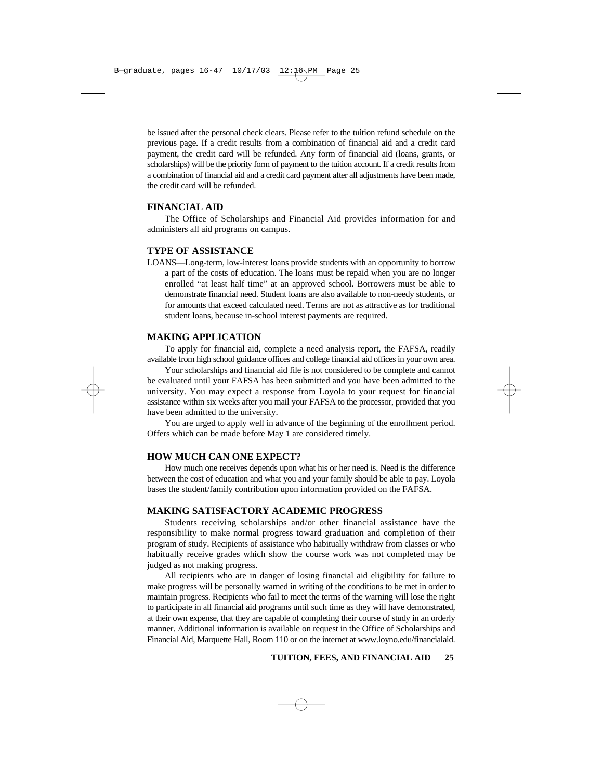be issued after the personal check clears. Please refer to the tuition refund schedule on the previous page. If a credit results from a combination of financial aid and a credit card payment, the credit card will be refunded. Any form of financial aid (loans, grants, or scholarships) will be the priority form of payment to the tuition account. If a credit results from a combination of financial aid and a credit card payment after all adjustments have been made, the credit card will be refunded.

# **FINANCIAL AID**

The Office of Scholarships and Financial Aid provides information for and administers all aid programs on campus.

# **TYPE OF ASSISTANCE**

LOANS—Long-term, low-interest loans provide students with an opportunity to borrow a part of the costs of education. The loans must be repaid when you are no longer enrolled "at least half time" at an approved school. Borrowers must be able to demonstrate financial need. Student loans are also available to non-needy students, or for amounts that exceed calculated need. Terms are not as attractive as for traditional student loans, because in-school interest payments are required.

# **MAKING APPLICATION**

To apply for financial aid, complete a need analysis report, the FAFSA, readily available from high school guidance offices and college financial aid offices in your own area.

Your scholarships and financial aid file is not considered to be complete and cannot be evaluated until your FAFSA has been submitted and you have been admitted to the university. You may expect a response from Loyola to your request for financial assistance within six weeks after you mail your FAFSA to the processor, provided that you have been admitted to the university.

You are urged to apply well in advance of the beginning of the enrollment period. Offers which can be made before May 1 are considered timely.

# **HOW MUCH CAN ONE EXPECT?**

How much one receives depends upon what his or her need is. Need is the difference between the cost of education and what you and your family should be able to pay. Loyola bases the student/family contribution upon information provided on the FAFSA.

# **MAKING SATISFACTORY ACADEMIC PROGRESS**

Students receiving scholarships and/or other financial assistance have the responsibility to make normal progress toward graduation and completion of their program of study. Recipients of assistance who habitually withdraw from classes or who habitually receive grades which show the course work was not completed may be judged as not making progress.

All recipients who are in danger of losing financial aid eligibility for failure to make progress will be personally warned in writing of the conditions to be met in order to maintain progress. Recipients who fail to meet the terms of the warning will lose the right to participate in all financial aid programs until such time as they will have demonstrated, at their own expense, that they are capable of completing their course of study in an orderly manner. Additional information is available on request in the Office of Scholarships and Financial Aid, Marquette Hall, Room 110 or on the internet at www.loyno.edu/financialaid.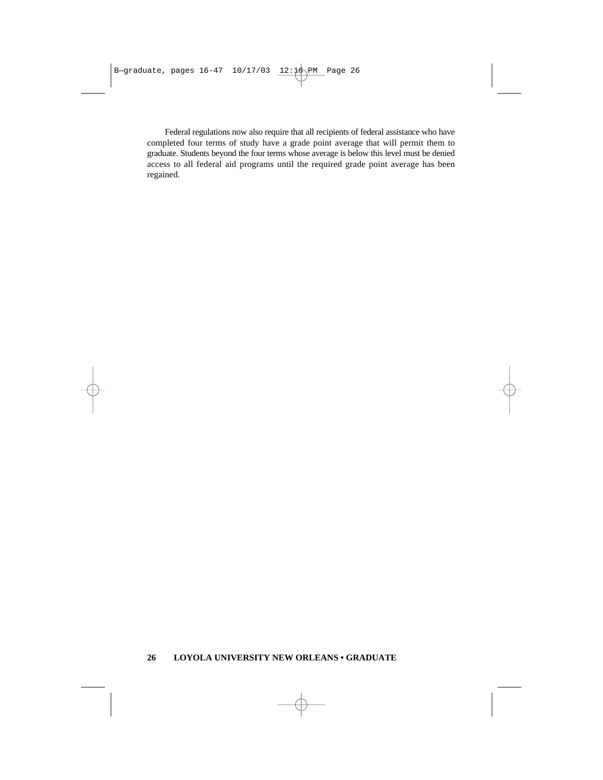Federal regulations now also require that all recipients of federal assistance who have completed four terms of study have a grade point average that will permit them to graduate. Students beyond the four terms whose average is below this level must be denied access to all federal aid programs until the required grade point average has been regained.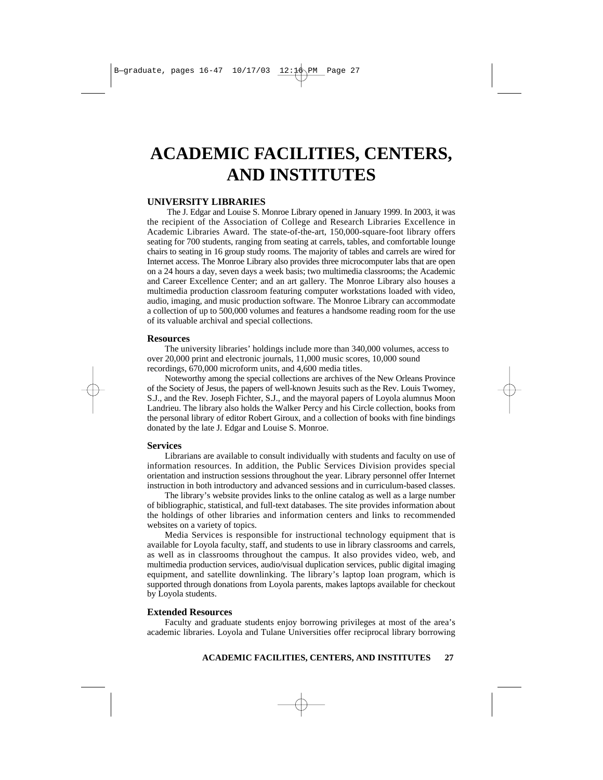# **ACADEMIC FACILITIES, CENTERS, AND INSTITUTES**

## **UNIVERSITY LIBRARIES**

The J. Edgar and Louise S. Monroe Library opened in January 1999. In 2003, it was the recipient of the Association of College and Research Libraries Excellence in Academic Libraries Award. The state-of-the-art, 150,000-square-foot library offers seating for 700 students, ranging from seating at carrels, tables, and comfortable lounge chairs to seating in 16 group study rooms. The majority of tables and carrels are wired for Internet access. The Monroe Library also provides three microcomputer labs that are open on a 24 hours a day, seven days a week basis; two multimedia classrooms; the Academic and Career Excellence Center; and an art gallery. The Monroe Library also houses a multimedia production classroom featuring computer workstations loaded with video, audio, imaging, and music production software. The Monroe Library can accommodate a collection of up to 500,000 volumes and features a handsome reading room for the use of its valuable archival and special collections.

## **Resources**

The university libraries' holdings include more than 340,000 volumes, access to over 20,000 print and electronic journals, 11,000 music scores, 10,000 sound recordings, 670,000 microform units, and 4,600 media titles.

Noteworthy among the special collections are archives of the New Orleans Province of the Society of Jesus, the papers of well-known Jesuits such as the Rev. Louis Twomey, S.J., and the Rev. Joseph Fichter, S.J., and the mayoral papers of Loyola alumnus Moon Landrieu. The library also holds the Walker Percy and his Circle collection, books from the personal library of editor Robert Giroux, and a collection of books with fine bindings donated by the late J. Edgar and Louise S. Monroe.

#### **Services**

Librarians are available to consult individually with students and faculty on use of information resources. In addition, the Public Services Division provides special orientation and instruction sessions throughout the year. Library personnel offer Internet instruction in both introductory and advanced sessions and in curriculum-based classes.

The library's website provides links to the online catalog as well as a large number of bibliographic, statistical, and full-text databases. The site provides information about the holdings of other libraries and information centers and links to recommended websites on a variety of topics.

Media Services is responsible for instructional technology equipment that is available for Loyola faculty, staff, and students to use in library classrooms and carrels, as well as in classrooms throughout the campus. It also provides video, web, and multimedia production services, audio/visual duplication services, public digital imaging equipment, and satellite downlinking. The library's laptop loan program, which is supported through donations from Loyola parents, makes laptops available for checkout by Loyola students.

#### **Extended Resources**

Faculty and graduate students enjoy borrowing privileges at most of the area's academic libraries. Loyola and Tulane Universities offer reciprocal library borrowing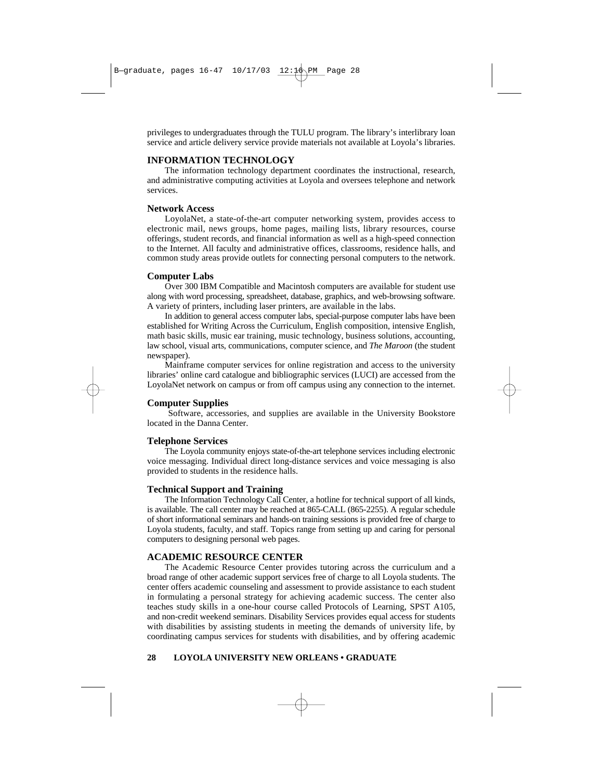privileges to undergraduates through the TULU program. The library's interlibrary loan service and article delivery service provide materials not available at Loyola's libraries.

# **INFORMATION TECHNOLOGY**

The information technology department coordinates the instructional, research, and administrative computing activities at Loyola and oversees telephone and network services.

# **Network Access**

LoyolaNet, a state-of-the-art computer networking system, provides access to electronic mail, news groups, home pages, mailing lists, library resources, course offerings, student records, and financial information as well as a high-speed connection to the Internet. All faculty and administrative offices, classrooms, residence halls, and common study areas provide outlets for connecting personal computers to the network.

# **Computer Labs**

Over 300 IBM Compatible and Macintosh computers are available for student use along with word processing, spreadsheet, database, graphics, and web-browsing software. A variety of printers, including laser printers, are available in the labs.

In addition to general access computer labs, special-purpose computer labs have been established for Writing Across the Curriculum, English composition, intensive English, math basic skills, music ear training, music technology, business solutions, accounting, law school, visual arts, communications, computer science, and *The Maroon* (the student newspaper).

Mainframe computer services for online registration and access to the university libraries' online card catalogue and bibliographic services (LUCI) are accessed from the LoyolaNet network on campus or from off campus using any connection to the internet.

# **Computer Supplies**

Software, accessories, and supplies are available in the University Bookstore located in the Danna Center.

# **Telephone Services**

The Loyola community enjoys state-of-the-art telephone services including electronic voice messaging. Individual direct long-distance services and voice messaging is also provided to students in the residence halls.

# **Technical Support and Training**

The Information Technology Call Center, a hotline for technical support of all kinds, is available. The call center may be reached at 865-CALL (865-2255). A regular schedule of short informational seminars and hands-on training sessions is provided free of charge to Loyola students, faculty, and staff. Topics range from setting up and caring for personal computers to designing personal web pages.

# **ACADEMIC RESOURCE CENTER**

The Academic Resource Center provides tutoring across the curriculum and a broad range of other academic support services free of charge to all Loyola students. The center offers academic counseling and assessment to provide assistance to each student in formulating a personal strategy for achieving academic success. The center also teaches study skills in a one-hour course called Protocols of Learning, SPST A105, and non-credit weekend seminars. Disability Services provides equal access for students with disabilities by assisting students in meeting the demands of university life, by coordinating campus services for students with disabilities, and by offering academic

# **28 LOYOLA UNIVERSITY NEW ORLEANS • GRADUATE**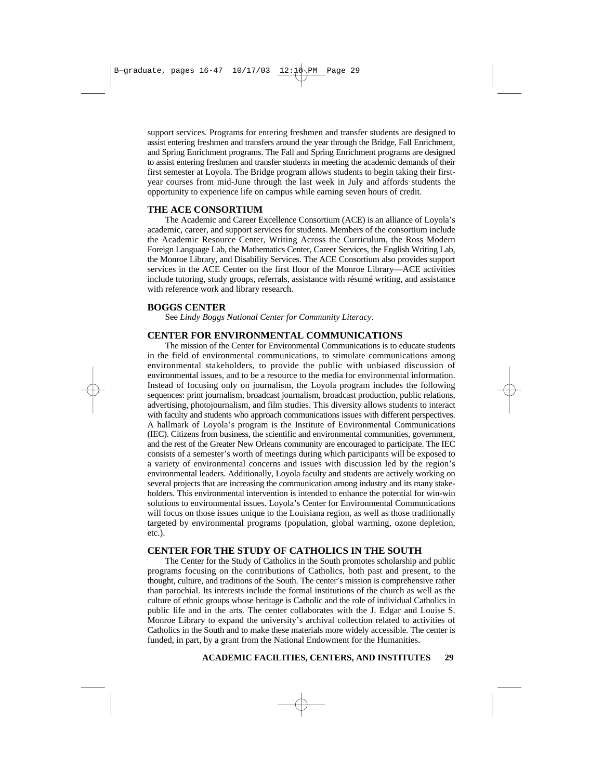support services. Programs for entering freshmen and transfer students are designed to assist entering freshmen and transfers around the year through the Bridge, Fall Enrichment, and Spring Enrichment programs. The Fall and Spring Enrichment programs are designed to assist entering freshmen and transfer students in meeting the academic demands of their first semester at Loyola. The Bridge program allows students to begin taking their firstyear courses from mid-June through the last week in July and affords students the opportunity to experience life on campus while earning seven hours of credit.

#### **THE ACE CONSORTIUM**

The Academic and Career Excellence Consortium (ACE) is an alliance of Loyola's academic, career, and support services for students. Members of the consortium include the Academic Resource Center, Writing Across the Curriculum, the Ross Modern Foreign Language Lab, the Mathematics Center, Career Services, the English Writing Lab, the Monroe Library, and Disability Services. The ACE Consortium also provides support services in the ACE Center on the first floor of the Monroe Library—ACE activities include tutoring, study groups, referrals, assistance with résumé writing, and assistance with reference work and library research.

# **BOGGS CENTER**

See *Lindy Boggs National Center for Community Literacy*.

# **CENTER FOR ENVIRONMENTAL COMMUNICATIONS**

The mission of the Center for Environmental Communications is to educate students in the field of environmental communications, to stimulate communications among environmental stakeholders, to provide the public with unbiased discussion of environmental issues, and to be a resource to the media for environmental information. Instead of focusing only on journalism, the Loyola program includes the following sequences: print journalism, broadcast journalism, broadcast production, public relations, advertising, photojournalism, and film studies. This diversity allows students to interact with faculty and students who approach communications issues with different perspectives. A hallmark of Loyola's program is the Institute of Environmental Communications (IEC). Citizens from business, the scientific and environmental communities, government, and the rest of the Greater New Orleans community are encouraged to participate. The IEC consists of a semester's worth of meetings during which participants will be exposed to a variety of environmental concerns and issues with discussion led by the region's environmental leaders. Additionally, Loyola faculty and students are actively working on several projects that are increasing the communication among industry and its many stakeholders. This environmental intervention is intended to enhance the potential for win-win solutions to environmental issues. Loyola's Center for Environmental Communications will focus on those issues unique to the Louisiana region, as well as those traditionally targeted by environmental programs (population, global warming, ozone depletion, etc.).

## **CENTER FOR THE STUDY OF CATHOLICS IN THE SOUTH**

The Center for the Study of Catholics in the South promotes scholarship and public programs focusing on the contributions of Catholics, both past and present, to the thought, culture, and traditions of the South. The center's mission is comprehensive rather than parochial. Its interests include the formal institutions of the church as well as the culture of ethnic groups whose heritage is Catholic and the role of individual Catholics in public life and in the arts. The center collaborates with the J. Edgar and Louise S. Monroe Library to expand the university's archival collection related to activities of Catholics in the South and to make these materials more widely accessible. The center is funded, in part, by a grant from the National Endowment for the Humanities.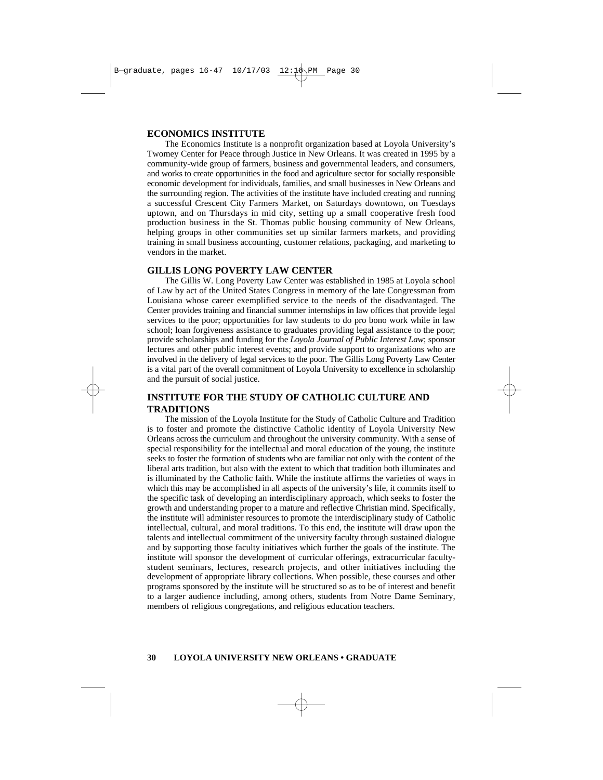# **ECONOMICS INSTITUTE**

The Economics Institute is a nonprofit organization based at Loyola University's Twomey Center for Peace through Justice in New Orleans. It was created in 1995 by a community-wide group of farmers, business and governmental leaders, and consumers, and works to create opportunities in the food and agriculture sector for socially responsible economic development for individuals, families, and small businesses in New Orleans and the surrounding region. The activities of the institute have included creating and running a successful Crescent City Farmers Market, on Saturdays downtown, on Tuesdays uptown, and on Thursdays in mid city, setting up a small cooperative fresh food production business in the St. Thomas public housing community of New Orleans, helping groups in other communities set up similar farmers markets, and providing training in small business accounting, customer relations, packaging, and marketing to vendors in the market.

# **GILLIS LONG POVERTY LAW CENTER**

The Gillis W. Long Poverty Law Center was established in 1985 at Loyola school of Law by act of the United States Congress in memory of the late Congressman from Louisiana whose career exemplified service to the needs of the disadvantaged. The Center provides training and financial summer internships in law offices that provide legal services to the poor; opportunities for law students to do pro bono work while in law school; loan forgiveness assistance to graduates providing legal assistance to the poor; provide scholarships and funding for the *Loyola Journal of Public Interest Law*; sponsor lectures and other public interest events; and provide support to organizations who are involved in the delivery of legal services to the poor. The Gillis Long Poverty Law Center is a vital part of the overall commitment of Loyola University to excellence in scholarship and the pursuit of social justice.

# **INSTITUTE FOR THE STUDY OF CATHOLIC CULTURE AND TRADITIONS**

The mission of the Loyola Institute for the Study of Catholic Culture and Tradition is to foster and promote the distinctive Catholic identity of Loyola University New Orleans across the curriculum and throughout the university community. With a sense of special responsibility for the intellectual and moral education of the young, the institute seeks to foster the formation of students who are familiar not only with the content of the liberal arts tradition, but also with the extent to which that tradition both illuminates and is illuminated by the Catholic faith. While the institute affirms the varieties of ways in which this may be accomplished in all aspects of the university's life, it commits itself to the specific task of developing an interdisciplinary approach, which seeks to foster the growth and understanding proper to a mature and reflective Christian mind. Specifically, the institute will administer resources to promote the interdisciplinary study of Catholic intellectual, cultural, and moral traditions. To this end, the institute will draw upon the talents and intellectual commitment of the university faculty through sustained dialogue and by supporting those faculty initiatives which further the goals of the institute. The institute will sponsor the development of curricular offerings, extracurricular facultystudent seminars, lectures, research projects, and other initiatives including the development of appropriate library collections. When possible, these courses and other programs sponsored by the institute will be structured so as to be of interest and benefit to a larger audience including, among others, students from Notre Dame Seminary, members of religious congregations, and religious education teachers.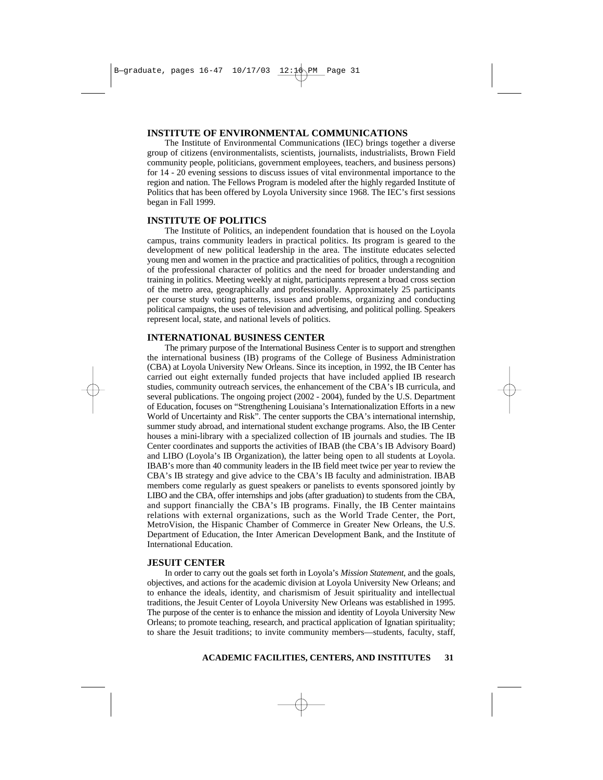# **INSTITUTE OF ENVIRONMENTAL COMMUNICATIONS**

The Institute of Environmental Communications (IEC) brings together a diverse group of citizens (environmentalists, scientists, journalists, industrialists, Brown Field community people, politicians, government employees, teachers, and business persons) for 14 - 20 evening sessions to discuss issues of vital environmental importance to the region and nation. The Fellows Program is modeled after the highly regarded Institute of Politics that has been offered by Loyola University since 1968. The IEC's first sessions began in Fall 1999.

# **INSTITUTE OF POLITICS**

The Institute of Politics, an independent foundation that is housed on the Loyola campus, trains community leaders in practical politics. Its program is geared to the development of new political leadership in the area. The institute educates selected young men and women in the practice and practicalities of politics, through a recognition of the professional character of politics and the need for broader understanding and training in politics. Meeting weekly at night, participants represent a broad cross section of the metro area, geographically and professionally. Approximately 25 participants per course study voting patterns, issues and problems, organizing and conducting political campaigns, the uses of television and advertising, and political polling. Speakers represent local, state, and national levels of politics.

# **INTERNATIONAL BUSINESS CENTER**

The primary purpose of the International Business Center is to support and strengthen the international business (IB) programs of the College of Business Administration (CBA) at Loyola University New Orleans. Since its inception, in 1992, the IB Center has carried out eight externally funded projects that have included applied IB research studies, community outreach services, the enhancement of the CBA's IB curricula, and several publications. The ongoing project (2002 - 2004), funded by the U.S. Department of Education, focuses on "Strengthening Louisiana's Internationalization Efforts in a new World of Uncertainty and Risk". The center supports the CBA's international internship, summer study abroad, and international student exchange programs. Also, the IB Center houses a mini-library with a specialized collection of IB journals and studies. The IB Center coordinates and supports the activities of IBAB (the CBA's IB Advisory Board) and LIBO (Loyola's IB Organization), the latter being open to all students at Loyola. IBAB's more than 40 community leaders in the IB field meet twice per year to review the CBA's IB strategy and give advice to the CBA's IB faculty and administration. IBAB members come regularly as guest speakers or panelists to events sponsored jointly by LIBO and the CBA, offer internships and jobs (after graduation) to students from the CBA, and support financially the CBA's IB programs. Finally, the IB Center maintains relations with external organizations, such as the World Trade Center, the Port, MetroVision, the Hispanic Chamber of Commerce in Greater New Orleans, the U.S. Department of Education, the Inter American Development Bank, and the Institute of International Education.

#### **JESUIT CENTER**

In order to carry out the goals set forth in Loyola's *Mission Statement*, and the goals, objectives, and actions for the academic division at Loyola University New Orleans; and to enhance the ideals, identity, and charismism of Jesuit spirituality and intellectual traditions, the Jesuit Center of Loyola University New Orleans was established in 1995. The purpose of the center is to enhance the mission and identity of Loyola University New Orleans; to promote teaching, research, and practical application of Ignatian spirituality; to share the Jesuit traditions; to invite community members—students, faculty, staff,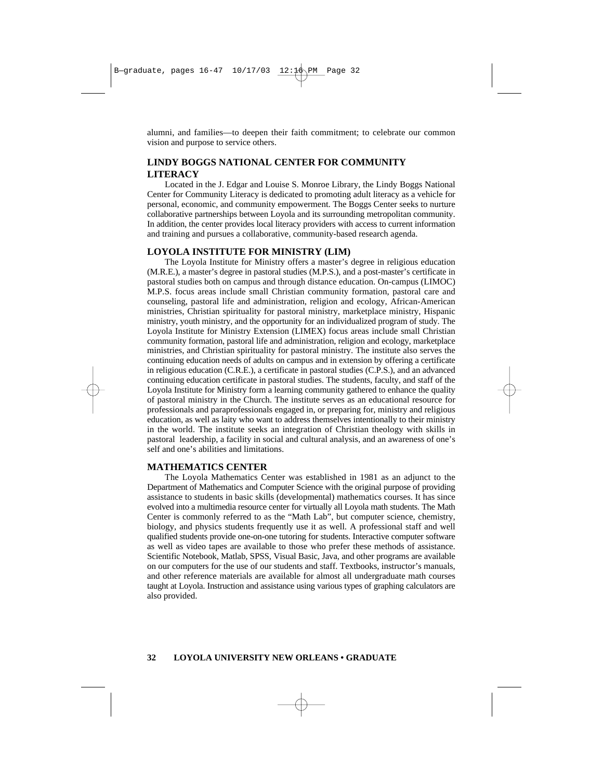alumni, and families—to deepen their faith commitment; to celebrate our common vision and purpose to service others.

# **LINDY BOGGS NATIONAL CENTER FOR COMMUNITY LITERACY**

Located in the J. Edgar and Louise S. Monroe Library, the Lindy Boggs National Center for Community Literacy is dedicated to promoting adult literacy as a vehicle for personal, economic, and community empowerment. The Boggs Center seeks to nurture collaborative partnerships between Loyola and its surrounding metropolitan community. In addition, the center provides local literacy providers with access to current information and training and pursues a collaborative, community-based research agenda.

# **LOYOLA INSTITUTE FOR MINISTRY (LIM)**

The Loyola Institute for Ministry offers a master's degree in religious education (M.R.E.), a master's degree in pastoral studies (M.P.S.), and a post-master's certificate in pastoral studies both on campus and through distance education. On-campus (LIMOC) M.P.S. focus areas include small Christian community formation, pastoral care and counseling, pastoral life and administration, religion and ecology, African-American ministries, Christian spirituality for pastoral ministry, marketplace ministry, Hispanic ministry, youth ministry, and the opportunity for an individualized program of study. The Loyola Institute for Ministry Extension (LIMEX) focus areas include small Christian community formation, pastoral life and administration, religion and ecology, marketplace ministries, and Christian spirituality for pastoral ministry. The institute also serves the continuing education needs of adults on campus and in extension by offering a certificate in religious education (C.R.E.), a certificate in pastoral studies (C.P.S.), and an advanced continuing education certificate in pastoral studies. The students, faculty, and staff of the Loyola Institute for Ministry form a learning community gathered to enhance the quality of pastoral ministry in the Church. The institute serves as an educational resource for professionals and paraprofessionals engaged in, or preparing for, ministry and religious education, as well as laity who want to address themselves intentionally to their ministry in the world. The institute seeks an integration of Christian theology with skills in pastoral leadership, a facility in social and cultural analysis, and an awareness of one's self and one's abilities and limitations.

# **MATHEMATICS CENTER**

The Loyola Mathematics Center was established in 1981 as an adjunct to the Department of Mathematics and Computer Science with the original purpose of providing assistance to students in basic skills (developmental) mathematics courses. It has since evolved into a multimedia resource center for virtually all Loyola math students. The Math Center is commonly referred to as the "Math Lab", but computer science, chemistry, biology, and physics students frequently use it as well. A professional staff and well qualified students provide one-on-one tutoring for students. Interactive computer software as well as video tapes are available to those who prefer these methods of assistance. Scientific Notebook, Matlab, SPSS, Visual Basic, Java, and other programs are available on our computers for the use of our students and staff. Textbooks, instructor's manuals, and other reference materials are available for almost all undergraduate math courses taught at Loyola. Instruction and assistance using various types of graphing calculators are also provided.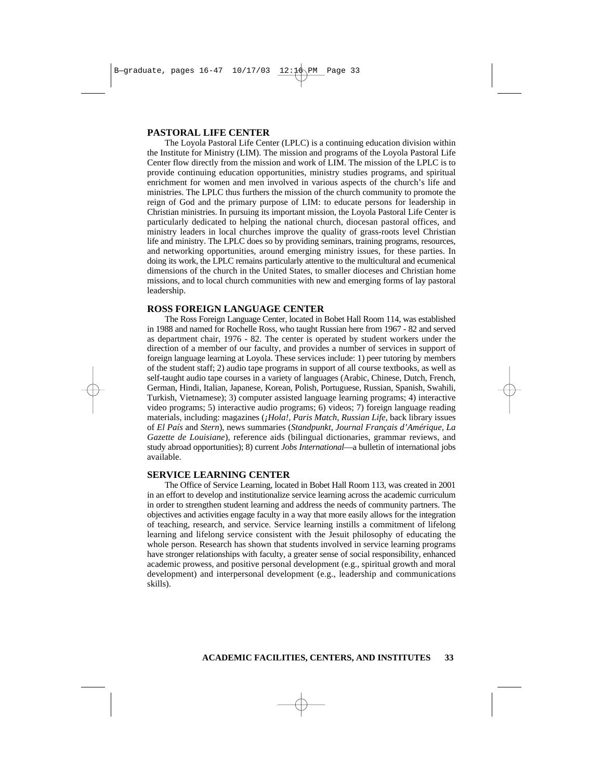# **PASTORAL LIFE CENTER**

The Loyola Pastoral Life Center (LPLC) is a continuing education division within the Institute for Ministry (LIM). The mission and programs of the Loyola Pastoral Life Center flow directly from the mission and work of LIM. The mission of the LPLC is to provide continuing education opportunities, ministry studies programs, and spiritual enrichment for women and men involved in various aspects of the church's life and ministries. The LPLC thus furthers the mission of the church community to promote the reign of God and the primary purpose of LIM: to educate persons for leadership in Christian ministries. In pursuing its important mission, the Loyola Pastoral Life Center is particularly dedicated to helping the national church, diocesan pastoral offices, and ministry leaders in local churches improve the quality of grass-roots level Christian life and ministry. The LPLC does so by providing seminars, training programs, resources, and networking opportunities, around emerging ministry issues, for these parties. In doing its work, the LPLC remains particularly attentive to the multicultural and ecumenical dimensions of the church in the United States, to smaller dioceses and Christian home missions, and to local church communities with new and emerging forms of lay pastoral leadership.

# **ROSS FOREIGN LANGUAGE CENTER**

The Ross Foreign Language Center, located in Bobet Hall Room 114, was established in 1988 and named for Rochelle Ross, who taught Russian here from 1967 - 82 and served as department chair, 1976 - 82. The center is operated by student workers under the direction of a member of our faculty, and provides a number of services in support of foreign language learning at Loyola. These services include: 1) peer tutoring by members of the student staff; 2) audio tape programs in support of all course textbooks, as well as self-taught audio tape courses in a variety of languages (Arabic, Chinese, Dutch, French, German, Hindi, Italian, Japanese, Korean, Polish, Portuguese, Russian, Spanish, Swahili, Turkish, Vietnamese); 3) computer assisted language learning programs; 4) interactive video programs; 5) interactive audio programs; 6) videos; 7) foreign language reading materials, including: magazines (*¡Hola!*, *Paris Match*, *Russian Life*, back library issues of *El País* and *Stern*), news summaries (*Standpunkt*, *Journal Français d'Amérique*, *La Gazette de Louisiane*), reference aids (bilingual dictionaries, grammar reviews, and study abroad opportunities); 8) current *Jobs International*—a bulletin of international jobs available.

## **SERVICE LEARNING CENTER**

The Office of Service Learning, located in Bobet Hall Room 113, was created in 2001 in an effort to develop and institutionalize service learning across the academic curriculum in order to strengthen student learning and address the needs of community partners. The objectives and activities engage faculty in a way that more easily allows for the integration of teaching, research, and service. Service learning instills a commitment of lifelong learning and lifelong service consistent with the Jesuit philosophy of educating the whole person. Research has shown that students involved in service learning programs have stronger relationships with faculty, a greater sense of social responsibility, enhanced academic prowess, and positive personal development (e.g., spiritual growth and moral development) and interpersonal development (e.g., leadership and communications skills).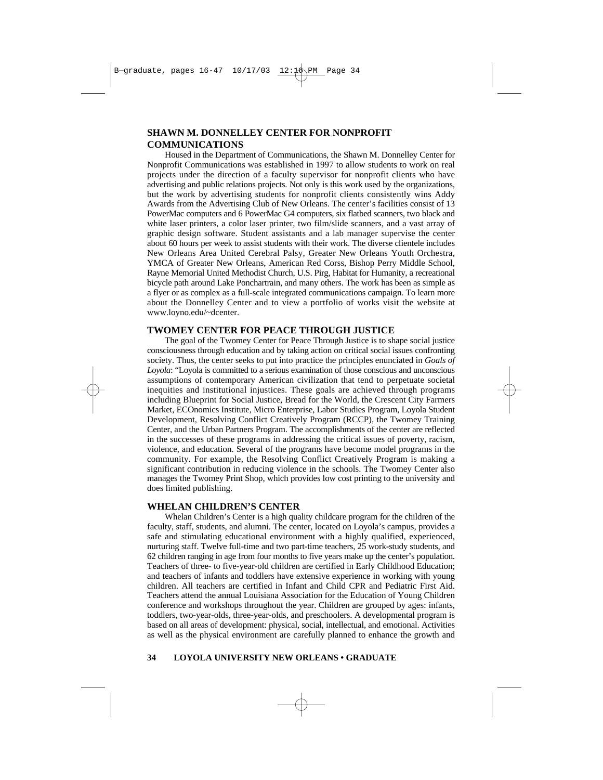# **SHAWN M. DONNELLEY CENTER FOR NONPROFIT COMMUNICATIONS**

Housed in the Department of Communications, the Shawn M. Donnelley Center for Nonprofit Communications was established in 1997 to allow students to work on real projects under the direction of a faculty supervisor for nonprofit clients who have advertising and public relations projects. Not only is this work used by the organizations, but the work by advertising students for nonprofit clients consistently wins Addy Awards from the Advertising Club of New Orleans. The center's facilities consist of 13 PowerMac computers and 6 PowerMac G4 computers, six flatbed scanners, two black and white laser printers, a color laser printer, two film/slide scanners, and a vast array of graphic design software. Student assistants and a lab manager supervise the center about 60 hours per week to assist students with their work. The diverse clientele includes New Orleans Area United Cerebral Palsy, Greater New Orleans Youth Orchestra, YMCA of Greater New Orleans, American Red Corss, Bishop Perry Middle School, Rayne Memorial United Methodist Church, U.S. Pirg, Habitat for Humanity, a recreational bicycle path around Lake Ponchartrain, and many others. The work has been as simple as a flyer or as complex as a full-scale integrated communications campaign. To learn more about the Donnelley Center and to view a portfolio of works visit the website at www.loyno.edu/~dcenter.

# **TWOMEY CENTER FOR PEACE THROUGH JUSTICE**

The goal of the Twomey Center for Peace Through Justice is to shape social justice consciousness through education and by taking action on critical social issues confronting society. Thus, the center seeks to put into practice the principles enunciated in *Goals of Loyola*: "Loyola is committed to a serious examination of those conscious and unconscious assumptions of contemporary American civilization that tend to perpetuate societal inequities and institutional injustices. These goals are achieved through programs including Blueprint for Social Justice, Bread for the World, the Crescent City Farmers Market, ECOnomics Institute, Micro Enterprise, Labor Studies Program, Loyola Student Development, Resolving Conflict Creatively Program (RCCP), the Twomey Training Center, and the Urban Partners Program. The accomplishments of the center are reflected in the successes of these programs in addressing the critical issues of poverty, racism, violence, and education. Several of the programs have become model programs in the community. For example, the Resolving Conflict Creatively Program is making a significant contribution in reducing violence in the schools. The Twomey Center also manages the Twomey Print Shop, which provides low cost printing to the university and does limited publishing.

# **WHELAN CHILDREN'S CENTER**

Whelan Children's Center is a high quality childcare program for the children of the faculty, staff, students, and alumni. The center, located on Loyola's campus, provides a safe and stimulating educational environment with a highly qualified, experienced, nurturing staff. Twelve full-time and two part-time teachers, 25 work-study students, and 62 children ranging in age from four months to five years make up the center's population. Teachers of three- to five-year-old children are certified in Early Childhood Education; and teachers of infants and toddlers have extensive experience in working with young children. All teachers are certified in Infant and Child CPR and Pediatric First Aid. Teachers attend the annual Louisiana Association for the Education of Young Children conference and workshops throughout the year. Children are grouped by ages: infants, toddlers, two-year-olds, three-year-olds, and preschoolers. A developmental program is based on all areas of development: physical, social, intellectual, and emotional. Activities as well as the physical environment are carefully planned to enhance the growth and

#### **34 LOYOLA UNIVERSITY NEW ORLEANS • GRADUATE**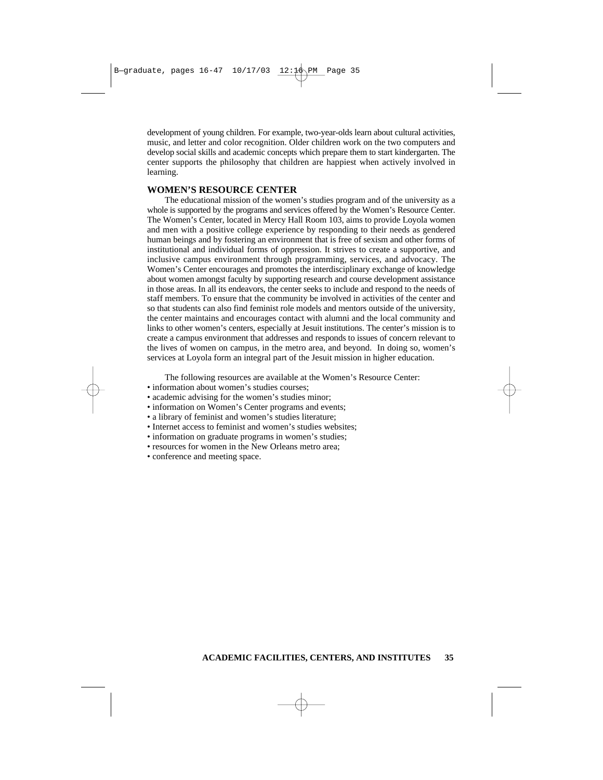development of young children. For example, two-year-olds learn about cultural activities, music, and letter and color recognition. Older children work on the two computers and develop social skills and academic concepts which prepare them to start kindergarten. The center supports the philosophy that children are happiest when actively involved in learning.

# **WOMEN'S RESOURCE CENTER**

The educational mission of the women's studies program and of the university as a whole is supported by the programs and services offered by the Women's Resource Center. The Women's Center, located in Mercy Hall Room 103, aims to provide Loyola women and men with a positive college experience by responding to their needs as gendered human beings and by fostering an environment that is free of sexism and other forms of institutional and individual forms of oppression. It strives to create a supportive, and inclusive campus environment through programming, services, and advocacy. The Women's Center encourages and promotes the interdisciplinary exchange of knowledge about women amongst faculty by supporting research and course development assistance in those areas. In all its endeavors, the center seeks to include and respond to the needs of staff members. To ensure that the community be involved in activities of the center and so that students can also find feminist role models and mentors outside of the university, the center maintains and encourages contact with alumni and the local community and links to other women's centers, especially at Jesuit institutions. The center's mission is to create a campus environment that addresses and responds to issues of concern relevant to the lives of women on campus, in the metro area, and beyond. In doing so, women's services at Loyola form an integral part of the Jesuit mission in higher education.

The following resources are available at the Women's Resource Center:

- information about women's studies courses;
- academic advising for the women's studies minor;
- information on Women's Center programs and events;
- a library of feminist and women's studies literature;
- Internet access to feminist and women's studies websites;
- information on graduate programs in women's studies;
- resources for women in the New Orleans metro area;
- conference and meeting space.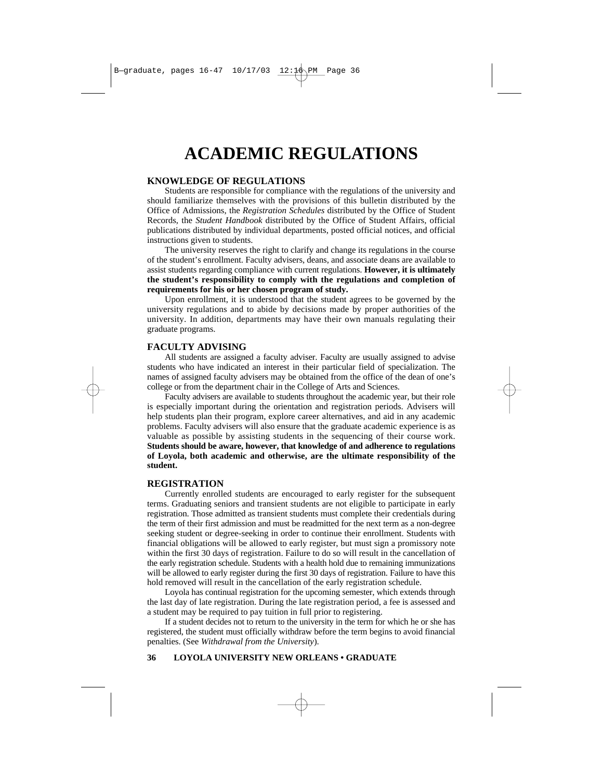# **ACADEMIC REGULATIONS**

# **KNOWLEDGE OF REGULATIONS**

Students are responsible for compliance with the regulations of the university and should familiarize themselves with the provisions of this bulletin distributed by the Office of Admissions, the *Registration Schedules* distributed by the Office of Student Records, the *Student Handbook* distributed by the Office of Student Affairs, official publications distributed by individual departments, posted official notices, and official instructions given to students.

The university reserves the right to clarify and change its regulations in the course of the student's enrollment. Faculty advisers, deans, and associate deans are available to assist students regarding compliance with current regulations. **However, it is ultimately the student's responsibility to comply with the regulations and completion of requirements for his or her chosen program of study.**

Upon enrollment, it is understood that the student agrees to be governed by the university regulations and to abide by decisions made by proper authorities of the university. In addition, departments may have their own manuals regulating their graduate programs.

# **FACULTY ADVISING**

All students are assigned a faculty adviser. Faculty are usually assigned to advise students who have indicated an interest in their particular field of specialization. The names of assigned faculty advisers may be obtained from the office of the dean of one's college or from the department chair in the College of Arts and Sciences.

Faculty advisers are available to students throughout the academic year, but their role is especially important during the orientation and registration periods. Advisers will help students plan their program, explore career alternatives, and aid in any academic problems. Faculty advisers will also ensure that the graduate academic experience is as valuable as possible by assisting students in the sequencing of their course work. **Students should be aware, however, that knowledge of and adherence to regulations of Loyola, both academic and otherwise, are the ultimate responsibility of the student.**

# **REGISTRATION**

Currently enrolled students are encouraged to early register for the subsequent terms. Graduating seniors and transient students are not eligible to participate in early registration. Those admitted as transient students must complete their credentials during the term of their first admission and must be readmitted for the next term as a non-degree seeking student or degree-seeking in order to continue their enrollment. Students with financial obligations will be allowed to early register, but must sign a promissory note within the first 30 days of registration. Failure to do so will result in the cancellation of the early registration schedule. Students with a health hold due to remaining immunizations will be allowed to early register during the first 30 days of registration. Failure to have this hold removed will result in the cancellation of the early registration schedule.

Loyola has continual registration for the upcoming semester, which extends through the last day of late registration. During the late registration period, a fee is assessed and a student may be required to pay tuition in full prior to registering.

If a student decides not to return to the university in the term for which he or she has registered, the student must officially withdraw before the term begins to avoid financial penalties. (See *Withdrawal from the University*).

# **36 LOYOLA UNIVERSITY NEW ORLEANS • GRADUATE**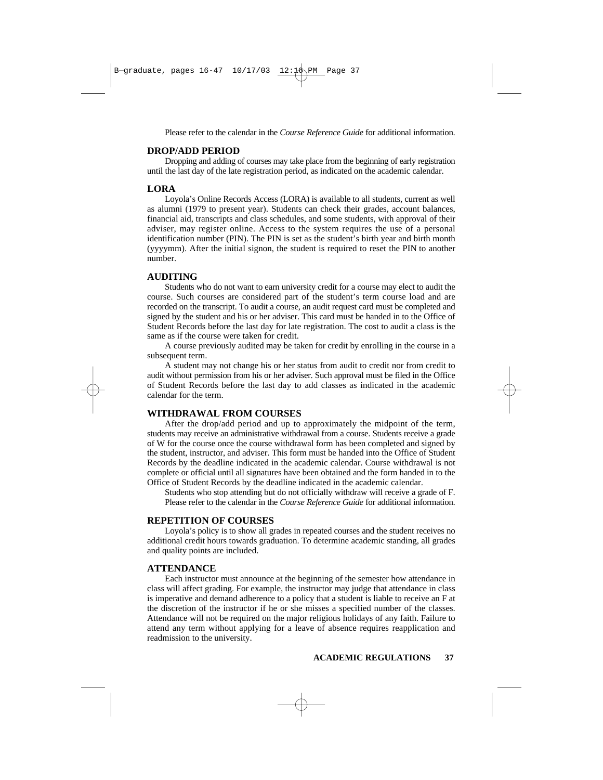Please refer to the calendar in the *Course Reference Guide* for additional information.

#### **DROP/ADD PERIOD**

Dropping and adding of courses may take place from the beginning of early registration until the last day of the late registration period, as indicated on the academic calendar.

# **LORA**

Loyola's Online Records Access (LORA) is available to all students, current as well as alumni (1979 to present year). Students can check their grades, account balances, financial aid, transcripts and class schedules, and some students, with approval of their adviser, may register online. Access to the system requires the use of a personal identification number (PIN). The PIN is set as the student's birth year and birth month (yyyymm). After the initial signon, the student is required to reset the PIN to another number.

## **AUDITING**

Students who do not want to earn university credit for a course may elect to audit the course. Such courses are considered part of the student's term course load and are recorded on the transcript. To audit a course, an audit request card must be completed and signed by the student and his or her adviser. This card must be handed in to the Office of Student Records before the last day for late registration. The cost to audit a class is the same as if the course were taken for credit.

A course previously audited may be taken for credit by enrolling in the course in a subsequent term.

A student may not change his or her status from audit to credit nor from credit to audit without permission from his or her adviser. Such approval must be filed in the Office of Student Records before the last day to add classes as indicated in the academic calendar for the term.

# **WITHDRAWAL FROM COURSES**

After the drop/add period and up to approximately the midpoint of the term, students may receive an administrative withdrawal from a course. Students receive a grade of W for the course once the course withdrawal form has been completed and signed by the student, instructor, and adviser. This form must be handed into the Office of Student Records by the deadline indicated in the academic calendar. Course withdrawal is not complete or official until all signatures have been obtained and the form handed in to the Office of Student Records by the deadline indicated in the academic calendar.

Students who stop attending but do not officially withdraw will receive a grade of F. Please refer to the calendar in the *Course Reference Guide* for additional information.

# **REPETITION OF COURSES**

Loyola's policy is to show all grades in repeated courses and the student receives no additional credit hours towards graduation. To determine academic standing, all grades and quality points are included.

## **ATTENDANCE**

Each instructor must announce at the beginning of the semester how attendance in class will affect grading. For example, the instructor may judge that attendance in class is imperative and demand adherence to a policy that a student is liable to receive an F at the discretion of the instructor if he or she misses a specified number of the classes. Attendance will not be required on the major religious holidays of any faith. Failure to attend any term without applying for a leave of absence requires reapplication and readmission to the university.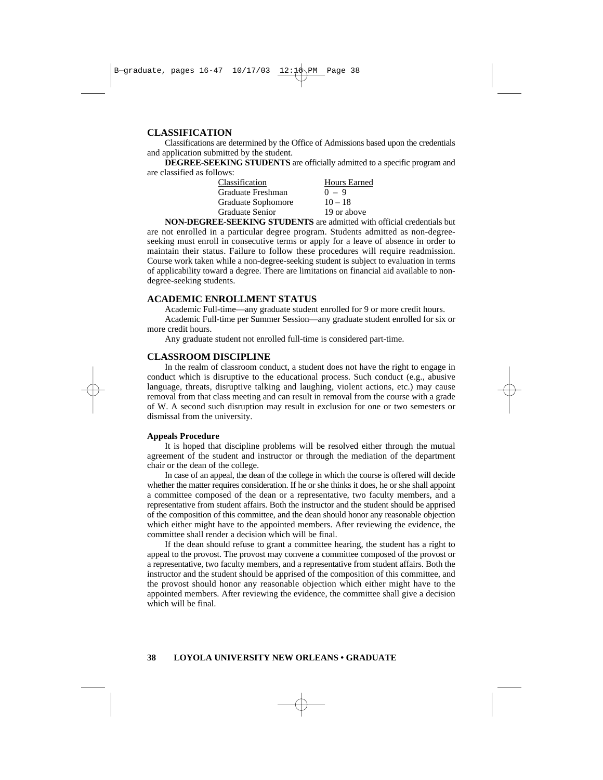# **CLASSIFICATION**

Classifications are determined by the Office of Admissions based upon the credentials and application submitted by the student.

**DEGREE-SEEKING STUDENTS** are officially admitted to a specific program and are classified as follows:

| <b>Hours Earned</b> |
|---------------------|
| $0 - 9$             |
| $10 - 18$           |
| 19 or above         |
|                     |

**NON-DEGREE-SEEKING STUDENTS** are admitted with official credentials but are not enrolled in a particular degree program. Students admitted as non-degreeseeking must enroll in consecutive terms or apply for a leave of absence in order to maintain their status. Failure to follow these procedures will require readmission. Course work taken while a non-degree-seeking student is subject to evaluation in terms of applicability toward a degree. There are limitations on financial aid available to nondegree-seeking students.

# **ACADEMIC ENROLLMENT STATUS**

Academic Full-time—any graduate student enrolled for 9 or more credit hours.

Academic Full-time per Summer Session—any graduate student enrolled for six or more credit hours.

Any graduate student not enrolled full-time is considered part-time.

#### **CLASSROOM DISCIPLINE**

In the realm of classroom conduct, a student does not have the right to engage in conduct which is disruptive to the educational process. Such conduct (e.g., abusive language, threats, disruptive talking and laughing, violent actions, etc.) may cause removal from that class meeting and can result in removal from the course with a grade of W. A second such disruption may result in exclusion for one or two semesters or dismissal from the university.

#### **Appeals Procedure**

It is hoped that discipline problems will be resolved either through the mutual agreement of the student and instructor or through the mediation of the department chair or the dean of the college.

In case of an appeal, the dean of the college in which the course is offered will decide whether the matter requires consideration. If he or she thinks it does, he or she shall appoint a committee composed of the dean or a representative, two faculty members, and a representative from student affairs. Both the instructor and the student should be apprised of the composition of this committee, and the dean should honor any reasonable objection which either might have to the appointed members. After reviewing the evidence, the committee shall render a decision which will be final.

If the dean should refuse to grant a committee hearing, the student has a right to appeal to the provost. The provost may convene a committee composed of the provost or a representative, two faculty members, and a representative from student affairs. Both the instructor and the student should be apprised of the composition of this committee, and the provost should honor any reasonable objection which either might have to the appointed members. After reviewing the evidence, the committee shall give a decision which will be final.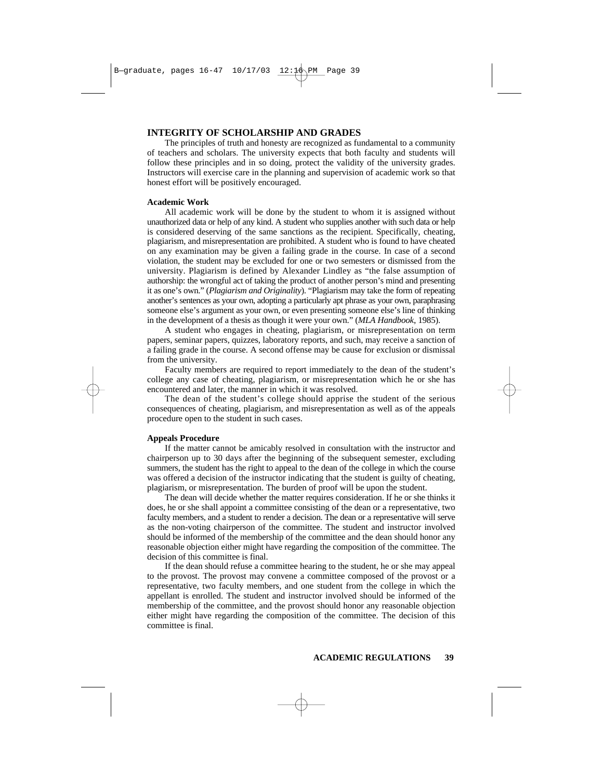# **INTEGRITY OF SCHOLARSHIP AND GRADES**

The principles of truth and honesty are recognized as fundamental to a community of teachers and scholars. The university expects that both faculty and students will follow these principles and in so doing, protect the validity of the university grades. Instructors will exercise care in the planning and supervision of academic work so that honest effort will be positively encouraged.

#### **Academic Work**

All academic work will be done by the student to whom it is assigned without unauthorized data or help of any kind. A student who supplies another with such data or help is considered deserving of the same sanctions as the recipient. Specifically, cheating, plagiarism, and misrepresentation are prohibited. A student who is found to have cheated on any examination may be given a failing grade in the course. In case of a second violation, the student may be excluded for one or two semesters or dismissed from the university. Plagiarism is defined by Alexander Lindley as "the false assumption of authorship: the wrongful act of taking the product of another person's mind and presenting it as one's own." (*Plagiarism and Originality*). "Plagiarism may take the form of repeating another's sentences as your own, adopting a particularly apt phrase as your own, paraphrasing someone else's argument as your own, or even presenting someone else's line of thinking in the development of a thesis as though it were your own." (*MLA Handbook*, 1985).

A student who engages in cheating, plagiarism, or misrepresentation on term papers, seminar papers, quizzes, laboratory reports, and such, may receive a sanction of a failing grade in the course. A second offense may be cause for exclusion or dismissal from the university.

Faculty members are required to report immediately to the dean of the student's college any case of cheating, plagiarism, or misrepresentation which he or she has encountered and later, the manner in which it was resolved.

The dean of the student's college should apprise the student of the serious consequences of cheating, plagiarism, and misrepresentation as well as of the appeals procedure open to the student in such cases.

#### **Appeals Procedure**

If the matter cannot be amicably resolved in consultation with the instructor and chairperson up to 30 days after the beginning of the subsequent semester, excluding summers, the student has the right to appeal to the dean of the college in which the course was offered a decision of the instructor indicating that the student is guilty of cheating, plagiarism, or misrepresentation. The burden of proof will be upon the student.

The dean will decide whether the matter requires consideration. If he or she thinks it does, he or she shall appoint a committee consisting of the dean or a representative, two faculty members, and a student to render a decision. The dean or a representative will serve as the non-voting chairperson of the committee. The student and instructor involved should be informed of the membership of the committee and the dean should honor any reasonable objection either might have regarding the composition of the committee. The decision of this committee is final.

If the dean should refuse a committee hearing to the student, he or she may appeal to the provost. The provost may convene a committee composed of the provost or a representative, two faculty members, and one student from the college in which the appellant is enrolled. The student and instructor involved should be informed of the membership of the committee, and the provost should honor any reasonable objection either might have regarding the composition of the committee. The decision of this committee is final.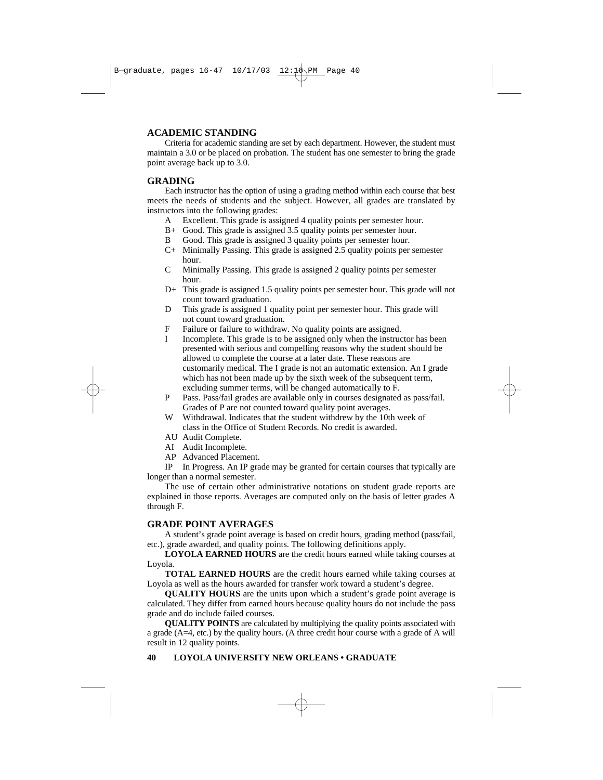# **ACADEMIC STANDING**

Criteria for academic standing are set by each department. However, the student must maintain a 3.0 or be placed on probation. The student has one semester to bring the grade point average back up to 3.0.

# **GRADING**

Each instructor has the option of using a grading method within each course that best meets the needs of students and the subject. However, all grades are translated by instructors into the following grades:

- A Excellent. This grade is assigned 4 quality points per semester hour.
- B+ Good. This grade is assigned 3.5 quality points per semester hour.
- B Good. This grade is assigned 3 quality points per semester hour.
- C+ Minimally Passing. This grade is assigned 2.5 quality points per semester hour.
- C Minimally Passing. This grade is assigned 2 quality points per semester hour.
- D+ This grade is assigned 1.5 quality points per semester hour. This grade will not count toward graduation.
- D This grade is assigned 1 quality point per semester hour. This grade will not count toward graduation.
- F Failure or failure to withdraw. No quality points are assigned.
- I Incomplete. This grade is to be assigned only when the instructor has been presented with serious and compelling reasons why the student should be allowed to complete the course at a later date. These reasons are customarily medical. The I grade is not an automatic extension. An I grade which has not been made up by the sixth week of the subsequent term, excluding summer terms, will be changed automatically to F.
- P Pass. Pass/fail grades are available only in courses designated as pass/fail. Grades of P are not counted toward quality point averages.
- W Withdrawal. Indicates that the student withdrew by the 10th week of class in the Office of Student Records. No credit is awarded.
- AU Audit Complete.
- AI Audit Incomplete.
- AP Advanced Placement.

IP In Progress. An IP grade may be granted for certain courses that typically are longer than a normal semester.

The use of certain other administrative notations on student grade reports are explained in those reports. Averages are computed only on the basis of letter grades A through F.

# **GRADE POINT AVERAGES**

A student's grade point average is based on credit hours, grading method (pass/fail, etc.), grade awarded, and quality points. The following definitions apply.

**LOYOLA EARNED HOURS** are the credit hours earned while taking courses at Loyola.

**TOTAL EARNED HOURS** are the credit hours earned while taking courses at Loyola as well as the hours awarded for transfer work toward a student's degree.

**QUALITY HOURS** are the units upon which a student's grade point average is calculated. They differ from earned hours because quality hours do not include the pass grade and do include failed courses.

**QUALITY POINTS** are calculated by multiplying the quality points associated with a grade (A=4, etc.) by the quality hours. (A three credit hour course with a grade of A will result in 12 quality points.

# **40 LOYOLA UNIVERSITY NEW ORLEANS • GRADUATE**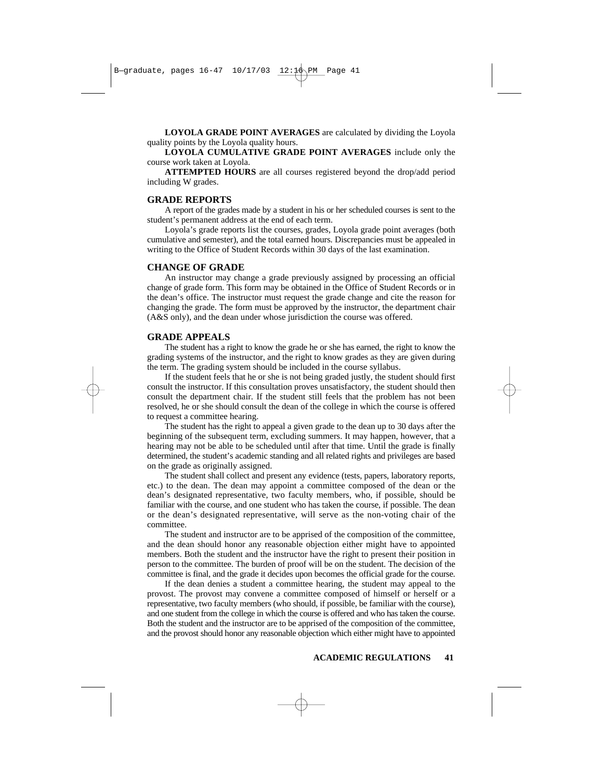**LOYOLA GRADE POINT AVERAGES** are calculated by dividing the Loyola quality points by the Loyola quality hours.

**LOYOLA CUMULATIVE GRADE POINT AVERAGES** include only the course work taken at Loyola.

**ATTEMPTED HOURS** are all courses registered beyond the drop/add period including W grades.

#### **GRADE REPORTS**

A report of the grades made by a student in his or her scheduled courses is sent to the student's permanent address at the end of each term.

Loyola's grade reports list the courses, grades, Loyola grade point averages (both cumulative and semester), and the total earned hours. Discrepancies must be appealed in writing to the Office of Student Records within 30 days of the last examination.

# **CHANGE OF GRADE**

An instructor may change a grade previously assigned by processing an official change of grade form. This form may be obtained in the Office of Student Records or in the dean's office. The instructor must request the grade change and cite the reason for changing the grade. The form must be approved by the instructor, the department chair (A&S only), and the dean under whose jurisdiction the course was offered.

# **GRADE APPEALS**

The student has a right to know the grade he or she has earned, the right to know the grading systems of the instructor, and the right to know grades as they are given during the term. The grading system should be included in the course syllabus.

If the student feels that he or she is not being graded justly, the student should first consult the instructor. If this consultation proves unsatisfactory, the student should then consult the department chair. If the student still feels that the problem has not been resolved, he or she should consult the dean of the college in which the course is offered to request a committee hearing.

The student has the right to appeal a given grade to the dean up to 30 days after the beginning of the subsequent term, excluding summers. It may happen, however, that a hearing may not be able to be scheduled until after that time. Until the grade is finally determined, the student's academic standing and all related rights and privileges are based on the grade as originally assigned.

The student shall collect and present any evidence (tests, papers, laboratory reports, etc.) to the dean. The dean may appoint a committee composed of the dean or the dean's designated representative, two faculty members, who, if possible, should be familiar with the course, and one student who has taken the course, if possible. The dean or the dean's designated representative, will serve as the non-voting chair of the committee.

The student and instructor are to be apprised of the composition of the committee, and the dean should honor any reasonable objection either might have to appointed members. Both the student and the instructor have the right to present their position in person to the committee. The burden of proof will be on the student. The decision of the committee is final, and the grade it decides upon becomes the official grade for the course.

If the dean denies a student a committee hearing, the student may appeal to the provost. The provost may convene a committee composed of himself or herself or a representative, two faculty members (who should, if possible, be familiar with the course), and one student from the college in which the course is offered and who has taken the course. Both the student and the instructor are to be apprised of the composition of the committee, and the provost should honor any reasonable objection which either might have to appointed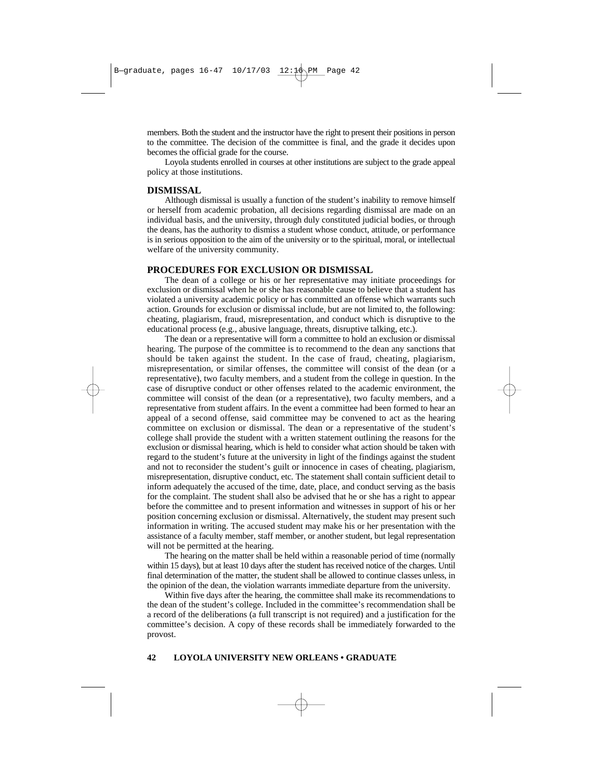members. Both the student and the instructor have the right to present their positions in person to the committee. The decision of the committee is final, and the grade it decides upon becomes the official grade for the course.

Loyola students enrolled in courses at other institutions are subject to the grade appeal policy at those institutions.

#### **DISMISSAL**

Although dismissal is usually a function of the student's inability to remove himself or herself from academic probation, all decisions regarding dismissal are made on an individual basis, and the university, through duly constituted judicial bodies, or through the deans, has the authority to dismiss a student whose conduct, attitude, or performance is in serious opposition to the aim of the university or to the spiritual, moral, or intellectual welfare of the university community.

#### **PROCEDURES FOR EXCLUSION OR DISMISSAL**

The dean of a college or his or her representative may initiate proceedings for exclusion or dismissal when he or she has reasonable cause to believe that a student has violated a university academic policy or has committed an offense which warrants such action. Grounds for exclusion or dismissal include, but are not limited to, the following: cheating, plagiarism, fraud, misrepresentation, and conduct which is disruptive to the educational process (e.g., abusive language, threats, disruptive talking, etc.).

The dean or a representative will form a committee to hold an exclusion or dismissal hearing. The purpose of the committee is to recommend to the dean any sanctions that should be taken against the student. In the case of fraud, cheating, plagiarism, misrepresentation, or similar offenses, the committee will consist of the dean (or a representative), two faculty members, and a student from the college in question. In the case of disruptive conduct or other offenses related to the academic environment, the committee will consist of the dean (or a representative), two faculty members, and a representative from student affairs. In the event a committee had been formed to hear an appeal of a second offense, said committee may be convened to act as the hearing committee on exclusion or dismissal. The dean or a representative of the student's college shall provide the student with a written statement outlining the reasons for the exclusion or dismissal hearing, which is held to consider what action should be taken with regard to the student's future at the university in light of the findings against the student and not to reconsider the student's guilt or innocence in cases of cheating, plagiarism, misrepresentation, disruptive conduct, etc. The statement shall contain sufficient detail to inform adequately the accused of the time, date, place, and conduct serving as the basis for the complaint. The student shall also be advised that he or she has a right to appear before the committee and to present information and witnesses in support of his or her position concerning exclusion or dismissal. Alternatively, the student may present such information in writing. The accused student may make his or her presentation with the assistance of a faculty member, staff member, or another student, but legal representation will not be permitted at the hearing.

The hearing on the matter shall be held within a reasonable period of time (normally within 15 days), but at least 10 days after the student has received notice of the charges. Until final determination of the matter, the student shall be allowed to continue classes unless, in the opinion of the dean, the violation warrants immediate departure from the university.

Within five days after the hearing, the committee shall make its recommendations to the dean of the student's college. Included in the committee's recommendation shall be a record of the deliberations (a full transcript is not required) and a justification for the committee's decision. A copy of these records shall be immediately forwarded to the provost.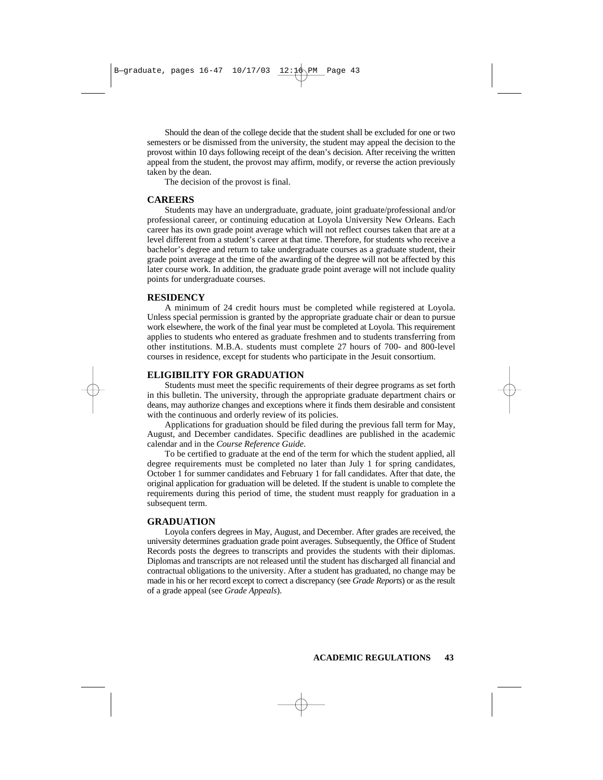Should the dean of the college decide that the student shall be excluded for one or two semesters or be dismissed from the university, the student may appeal the decision to the provost within 10 days following receipt of the dean's decision. After receiving the written appeal from the student, the provost may affirm, modify, or reverse the action previously taken by the dean.

The decision of the provost is final.

#### **CAREERS**

Students may have an undergraduate, graduate, joint graduate/professional and/or professional career, or continuing education at Loyola University New Orleans. Each career has its own grade point average which will not reflect courses taken that are at a level different from a student's career at that time. Therefore, for students who receive a bachelor's degree and return to take undergraduate courses as a graduate student, their grade point average at the time of the awarding of the degree will not be affected by this later course work. In addition, the graduate grade point average will not include quality points for undergraduate courses.

#### **RESIDENCY**

A minimum of 24 credit hours must be completed while registered at Loyola. Unless special permission is granted by the appropriate graduate chair or dean to pursue work elsewhere, the work of the final year must be completed at Loyola. This requirement applies to students who entered as graduate freshmen and to students transferring from other institutions. M.B.A. students must complete 27 hours of 700- and 800-level courses in residence, except for students who participate in the Jesuit consortium.

# **ELIGIBILITY FOR GRADUATION**

Students must meet the specific requirements of their degree programs as set forth in this bulletin. The university, through the appropriate graduate department chairs or deans, may authorize changes and exceptions where it finds them desirable and consistent with the continuous and orderly review of its policies.

Applications for graduation should be filed during the previous fall term for May, August, and December candidates. Specific deadlines are published in the academic calendar and in the *Course Reference Guide*.

To be certified to graduate at the end of the term for which the student applied, all degree requirements must be completed no later than July 1 for spring candidates, October 1 for summer candidates and February 1 for fall candidates. After that date, the original application for graduation will be deleted. If the student is unable to complete the requirements during this period of time, the student must reapply for graduation in a subsequent term.

# **GRADUATION**

Loyola confers degrees in May, August, and December. After grades are received, the university determines graduation grade point averages. Subsequently, the Office of Student Records posts the degrees to transcripts and provides the students with their diplomas. Diplomas and transcripts are not released until the student has discharged all financial and contractual obligations to the university. After a student has graduated, no change may be made in his or her record except to correct a discrepancy (see *Grade Reports*) or as the result of a grade appeal (see *Grade Appeals*).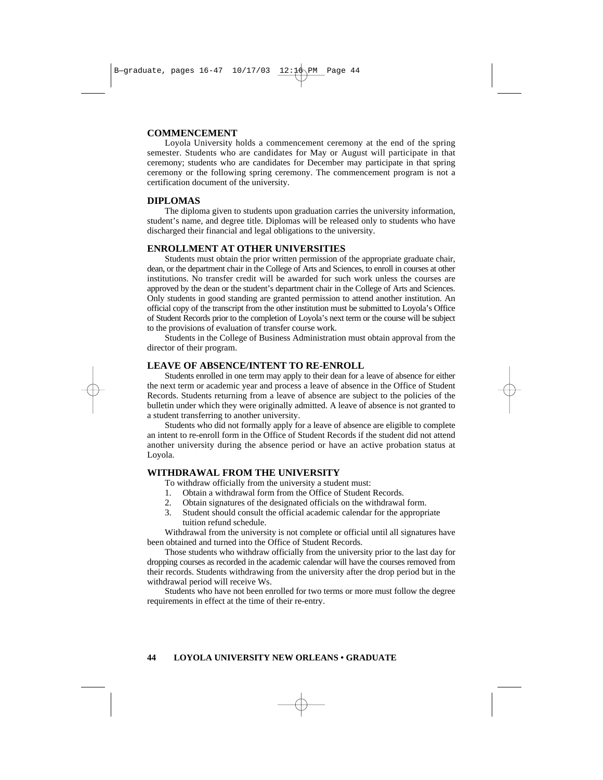# **COMMENCEMENT**

Loyola University holds a commencement ceremony at the end of the spring semester. Students who are candidates for May or August will participate in that ceremony; students who are candidates for December may participate in that spring ceremony or the following spring ceremony. The commencement program is not a certification document of the university.

# **DIPLOMAS**

The diploma given to students upon graduation carries the university information, student's name, and degree title. Diplomas will be released only to students who have discharged their financial and legal obligations to the university.

# **ENROLLMENT AT OTHER UNIVERSITIES**

Students must obtain the prior written permission of the appropriate graduate chair, dean, or the department chair in the College of Arts and Sciences, to enroll in courses at other institutions. No transfer credit will be awarded for such work unless the courses are approved by the dean or the student's department chair in the College of Arts and Sciences. Only students in good standing are granted permission to attend another institution. An official copy of the transcript from the other institution must be submitted to Loyola's Office of Student Records prior to the completion of Loyola's next term or the course will be subject to the provisions of evaluation of transfer course work.

Students in the College of Business Administration must obtain approval from the director of their program.

# **LEAVE OF ABSENCE/INTENT TO RE-ENROLL**

Students enrolled in one term may apply to their dean for a leave of absence for either the next term or academic year and process a leave of absence in the Office of Student Records. Students returning from a leave of absence are subject to the policies of the bulletin under which they were originally admitted. A leave of absence is not granted to a student transferring to another university.

Students who did not formally apply for a leave of absence are eligible to complete an intent to re-enroll form in the Office of Student Records if the student did not attend another university during the absence period or have an active probation status at Loyola.

# **WITHDRAWAL FROM THE UNIVERSITY**

To withdraw officially from the university a student must:

- 1. Obtain a withdrawal form from the Office of Student Records.
- 2. Obtain signatures of the designated officials on the withdrawal form.
- 3. Student should consult the official academic calendar for the appropriate tuition refund schedule.

Withdrawal from the university is not complete or official until all signatures have been obtained and turned into the Office of Student Records.

Those students who withdraw officially from the university prior to the last day for dropping courses as recorded in the academic calendar will have the courses removed from their records. Students withdrawing from the university after the drop period but in the withdrawal period will receive Ws.

Students who have not been enrolled for two terms or more must follow the degree requirements in effect at the time of their re-entry.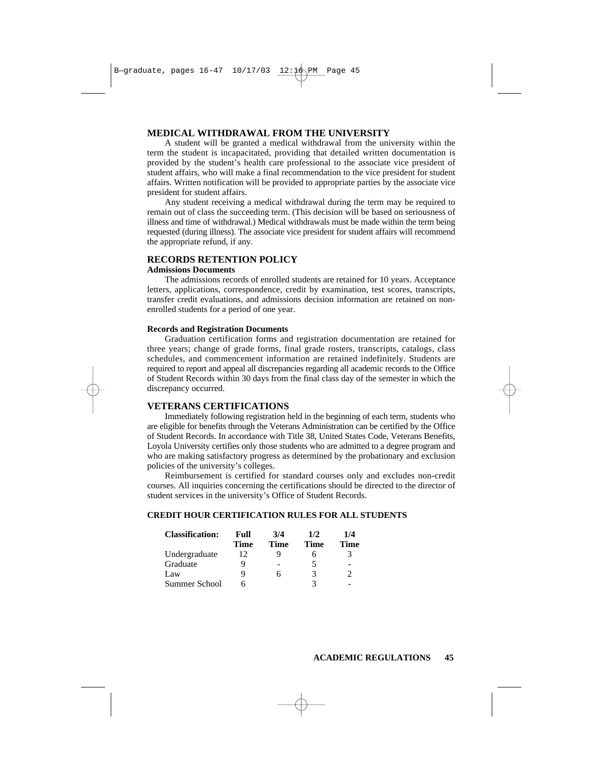# **MEDICAL WITHDRAWAL FROM THE UNIVERSITY**

A student will be granted a medical withdrawal from the university within the term the student is incapacitated, providing that detailed written documentation is provided by the student's health care professional to the associate vice president of student affairs, who will make a final recommendation to the vice president for student affairs. Written notification will be provided to appropriate parties by the associate vice president for student affairs.

Any student receiving a medical withdrawal during the term may be required to remain out of class the succeeding term. (This decision will be based on seriousness of illness and time of withdrawal.) Medical withdrawals must be made within the term being requested (during illness). The associate vice president for student affairs will recommend the appropriate refund, if any.

# **RECORDS RETENTION POLICY**

#### **Admissions Documents**

The admissions records of enrolled students are retained for 10 years. Acceptance letters, applications, correspondence, credit by examination, test scores, transcripts, transfer credit evaluations, and admissions decision information are retained on nonenrolled students for a period of one year.

#### **Records and Registration Documents**

Graduation certification forms and registration documentation are retained for three years; change of grade forms, final grade rosters, transcripts, catalogs, class schedules, and commencement information are retained indefinitely. Students are required to report and appeal all discrepancies regarding all academic records to the Office of Student Records within 30 days from the final class day of the semester in which the discrepancy occurred.

# **VETERANS CERTIFICATIONS**

Immediately following registration held in the beginning of each term, students who are eligible for benefits through the Veterans Administration can be certified by the Office of Student Records. In accordance with Title 38, United States Code, Veterans Benefits, Loyola University certifies only those students who are admitted to a degree program and who are making satisfactory progress as determined by the probationary and exclusion policies of the university's colleges.

Reimbursement is certified for standard courses only and excludes non-credit courses. All inquiries concerning the certifications should be directed to the director of student services in the university's Office of Student Records.

# **CREDIT HOUR CERTIFICATION RULES FOR ALL STUDENTS**

| <b>Classification:</b> | Full<br>Time | 3/4<br>Time | 1/2<br>Time | 1/4<br>Time |
|------------------------|--------------|-------------|-------------|-------------|
|                        |              |             |             |             |
| Undergraduate          | 12           |             |             |             |
| Graduate               | Q)           |             |             |             |
| Law                    | Q            | h           | 3           |             |
| Summer School          |              |             |             |             |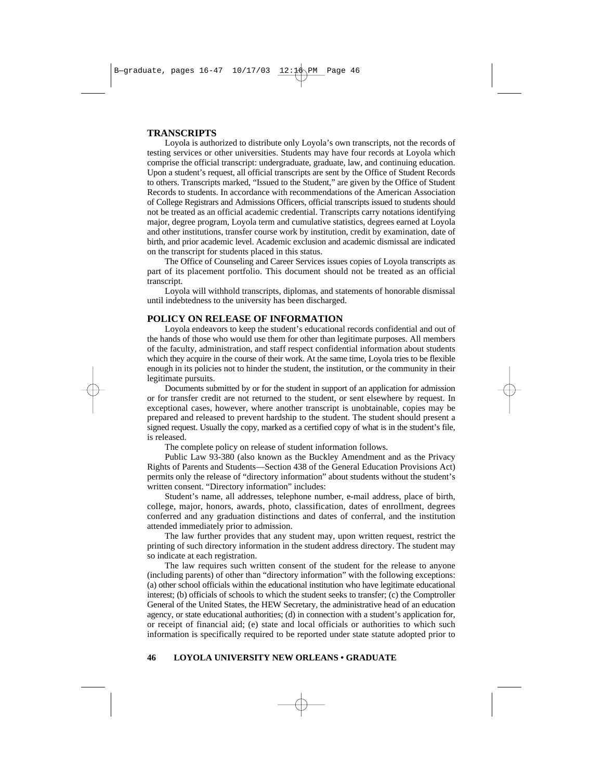# **TRANSCRIPTS**

Loyola is authorized to distribute only Loyola's own transcripts, not the records of testing services or other universities. Students may have four records at Loyola which comprise the official transcript: undergraduate, graduate, law, and continuing education. Upon a student's request, all official transcripts are sent by the Office of Student Records to others. Transcripts marked, "Issued to the Student," are given by the Office of Student Records to students. In accordance with recommendations of the American Association of College Registrars and Admissions Officers, official transcripts issued to students should not be treated as an official academic credential. Transcripts carry notations identifying major, degree program, Loyola term and cumulative statistics, degrees earned at Loyola and other institutions, transfer course work by institution, credit by examination, date of birth, and prior academic level. Academic exclusion and academic dismissal are indicated on the transcript for students placed in this status.

The Office of Counseling and Career Services issues copies of Loyola transcripts as part of its placement portfolio. This document should not be treated as an official transcript.

Loyola will withhold transcripts, diplomas, and statements of honorable dismissal until indebtedness to the university has been discharged.

# **POLICY ON RELEASE OF INFORMATION**

Loyola endeavors to keep the student's educational records confidential and out of the hands of those who would use them for other than legitimate purposes. All members of the faculty, administration, and staff respect confidential information about students which they acquire in the course of their work. At the same time, Loyola tries to be flexible enough in its policies not to hinder the student, the institution, or the community in their legitimate pursuits.

Documents submitted by or for the student in support of an application for admission or for transfer credit are not returned to the student, or sent elsewhere by request. In exceptional cases, however, where another transcript is unobtainable, copies may be prepared and released to prevent hardship to the student. The student should present a signed request. Usually the copy, marked as a certified copy of what is in the student's file, is released.

The complete policy on release of student information follows.

Public Law 93-380 (also known as the Buckley Amendment and as the Privacy Rights of Parents and Students—Section 438 of the General Education Provisions Act) permits only the release of "directory information" about students without the student's written consent. "Directory information" includes:

Student's name, all addresses, telephone number, e-mail address, place of birth, college, major, honors, awards, photo, classification, dates of enrollment, degrees conferred and any graduation distinctions and dates of conferral, and the institution attended immediately prior to admission.

The law further provides that any student may, upon written request, restrict the printing of such directory information in the student address directory. The student may so indicate at each registration.

The law requires such written consent of the student for the release to anyone (including parents) of other than "directory information" with the following exceptions: (a) other school officials within the educational institution who have legitimate educational interest; (b) officials of schools to which the student seeks to transfer; (c) the Comptroller General of the United States, the HEW Secretary, the administrative head of an education agency, or state educational authorities; (d) in connection with a student's application for, or receipt of financial aid; (e) state and local officials or authorities to which such information is specifically required to be reported under state statute adopted prior to